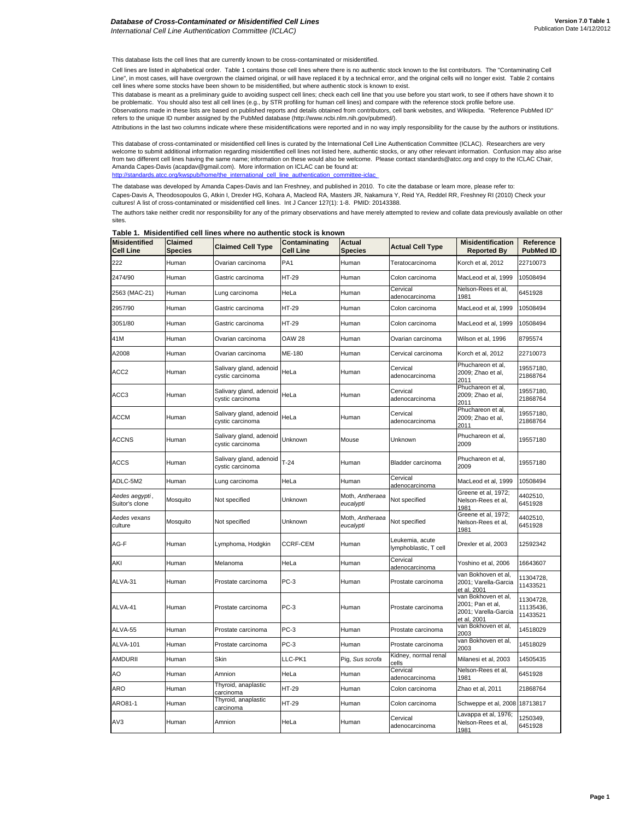This database lists the cell lines that are currently known to be cross-contaminated or misidentified.

Cell lines are listed in alphabetical order. Table 1 contains those cell lines where there is no authentic stock known to the list contributors. The "Contaminating Cell Line", in most cases, will have overgrown the claimed original, or will have replaced it by a technical error, and the original cells will no longer exist. Table 2 contains cell lines where some stocks have been shown to be misidentified, but where authentic stock is known to exist.

This database is meant as a preliminary guide to avoiding suspect cell lines; check each cell line that you use before you start work, to see if others have shown it to be problematic. You should also test all cell lines (e.g., by STR profiling for human cell lines) and compare with the reference stock profile before use. Observations made in these lists are based on published reports and details obtained from contributors, cell bank websites, and Wikipedia. "Reference PubMed ID" refers to the unique ID number assigned by the PubMed database (http://www.ncbi.nlm.nih.gov/pubmed/).

Attributions in the last two columns indicate where these misidentifications were reported and in no way imply responsibility for the cause by the authors or institutions.

This database of cross-contaminated or misidentified cell lines is curated by the International Cell Line Authentication Committee (ICLAC). Researchers are very welcome to submit additional information regarding misidentified cell lines not listed here, authentic stocks, or any other relevant information. Confusion may also arise from two different cell lines having the same name; information on these would also be welcome. Please contact standards@atcc.org and copy to the ICLAC Chair, Amanda Capes-Davis (acapdav@gmail.com). More information on ICLAC can be found at:<br>http://standards.atcc.org/kwspub/home/the\_international\_cell\_line\_authentication\_committee http://standards.atcc.org/kwspub/home/the\_international\_cell\_line

The authors take neither credit nor responsibility for any of the primary observations and have merely attempted to review and collate data previously available on other sites. The database was developed by Amanda Capes-Davis and Ian Freshney, and published in 2010. To cite the database or learn more, please refer to: Capes-Davis A, Theodosopoulos G, Atkin I, Drexler HG, Kohara A, Macleod RA, Masters JR, Nakamura Y, Reid YA, Reddel RR, Freshney RI (2010) Check your<br>cultures! A list of cross-contaminated or misidentified cell lines. Int

| <b>Misidentified</b><br><b>Cell Line</b> | <b>Claimed</b><br><b>Species</b> | <b>Claimed Cell Type</b>                    | Contaminating<br><b>Cell Line</b> | <b>Actual</b><br>Species     | <b>Actual Cell Type</b>                  | <b>Misidentification</b><br><b>Reported By</b>                                 | Reference<br><b>PubMed ID</b>      |
|------------------------------------------|----------------------------------|---------------------------------------------|-----------------------------------|------------------------------|------------------------------------------|--------------------------------------------------------------------------------|------------------------------------|
| 222                                      | Human                            | Ovarian carcinoma                           | PA <sub>1</sub>                   | Human                        | Teratocarcinoma                          | Korch et al, 2012                                                              | 22710073                           |
| 2474/90                                  | Human                            | Gastric carcinoma                           | HT-29                             | Human                        | Colon carcinoma                          | MacLeod et al, 1999                                                            | 10508494                           |
| 2563 (MAC-21)                            | Human                            | Lung carcinoma                              | HeLa                              | Human                        | Cervical<br>adenocarcinoma               | Nelson-Rees et al,<br>1981                                                     | 6451928                            |
| 2957/90                                  | Human                            | Gastric carcinoma                           | HT-29                             | Human                        | Colon carcinoma                          | MacLeod et al, 1999                                                            | 10508494                           |
| 3051/80                                  | Human                            | Gastric carcinoma                           | HT-29                             | Human                        | Colon carcinoma                          | MacLeod et al, 1999                                                            | 10508494                           |
| 41M                                      | Human                            | Ovarian carcinoma                           | <b>OAW 28</b>                     | Human                        | Ovarian carcinoma                        | Wilson et al. 1996                                                             | 8795574                            |
| A2008                                    | Human                            | Ovarian carcinoma                           | ME-180                            | Human                        | Cervical carcinoma                       | Korch et al, 2012                                                              | 22710073                           |
| ACC <sub>2</sub>                         | Human                            | Salivary gland, adenoid<br>cystic carcinoma | HeLa                              | Human                        | Cervical<br>adenocarcinoma               | Phuchareon et al,<br>2009; Zhao et al,<br>2011                                 | 19557180,<br>21868764              |
| ACC3                                     | Human                            | Salivary gland, adenoid<br>cystic carcinoma | HeLa                              | Human                        | Cervical<br>adenocarcinoma               | Phuchareon et al,<br>2009; Zhao et al,<br>2011                                 | 19557180,<br>21868764              |
| <b>ACCM</b>                              | Human                            | Salivary gland, adenoid<br>cystic carcinoma | HeLa                              | Human                        | Cervical<br>adenocarcinoma               | Phuchareon et al,<br>2009; Zhao et al,<br>2011                                 | 19557180,<br>21868764              |
| <b>ACCNS</b>                             | Human                            | Salivary gland, adenoid<br>cystic carcinoma | Unknown                           | Mouse                        | Unknown                                  | Phuchareon et al,<br>2009                                                      | 19557180                           |
| <b>ACCS</b>                              | Human                            | Salivary gland, adenoid<br>cystic carcinoma | $T-24$                            | Human                        | Bladder carcinoma                        | Phuchareon et al,<br>2009                                                      | 19557180                           |
| ADLC-5M2                                 | Human                            | Lung carcinoma                              | HeLa                              | Human                        | Cervical<br>adenocarcinoma               | MacLeod et al, 1999                                                            | 10508494                           |
| Aedes aegypti,<br>Suitor's clone         | Mosquito                         | Not specified                               | Unknown                           | Moth, Antheraea<br>eucalypti | Not specified                            | Greene et al, 1972;<br>Nelson-Rees et al,<br>1981                              | 4402510,<br>6451928                |
| Aedes vexans<br>culture                  | Mosquito                         | Not specified                               | Unknown                           | Moth, Antheraea<br>eucalypti | Not specified                            | Greene et al, 1972;<br>Nelson-Rees et al,<br>1981                              | 4402510,<br>6451928                |
| AG-F                                     | Human                            | Lymphoma, Hodgkin                           | CCRF-CEM                          | Human                        | Leukemia, acute<br>lymphoblastic, T cell | Drexler et al, 2003                                                            | 12592342                           |
| AKI                                      | Human                            | Melanoma                                    | HeLa                              | Human                        | Cervical<br>adenocarcinoma               | Yoshino et al, 2006                                                            | 16643607                           |
| ALVA-31                                  | Human                            | Prostate carcinoma                          | PC-3                              | Human                        | Prostate carcinoma                       | van Bokhoven et al,<br>2001; Varella-Garcia<br>et al, 2001                     | 11304728,<br>11433521              |
| ALVA-41                                  | Human                            | Prostate carcinoma                          | $PC-3$                            | Human                        | Prostate carcinoma                       | van Bokhoven et al,<br>2001; Pan et al,<br>2001; Varella-Garcia<br>et al. 2001 | 11304728,<br>11135436,<br>11433521 |
| ALVA-55                                  | Human                            | Prostate carcinoma                          | $PC-3$                            | Human                        | Prostate carcinoma                       | van Bokhoven et al,<br>2003                                                    | 14518029                           |
| ALVA-101                                 | Human                            | Prostate carcinoma                          | PC-3                              | Human                        | Prostate carcinoma                       | van Bokhoven et al,<br>2003                                                    | 14518029                           |
| AMDURII                                  | Human                            | Skin                                        | LLC-PK1                           | Pig, Sus scrofa              | Kidney, normal renal<br>cells            | Milanesi et al, 2003                                                           | 14505435                           |
| AO                                       | Human                            | Amnion                                      | HeLa                              | Human                        | Cervical<br>adenocarcinoma               | Nelson-Rees et al,<br>1981                                                     | 6451928                            |
| ARO                                      | Human                            | Thyroid, anaplastic<br>carcinoma            | HT-29                             | Human                        | Colon carcinoma                          | Zhao et al, 2011                                                               | 21868764                           |
| ARO81-1                                  | Human                            | Thyroid, anaplastic<br>carcinoma            | HT-29                             | Human                        | Colon carcinoma                          | Schweppe et al, 2008                                                           | 18713817                           |
| AV3                                      | Human                            | Amnion                                      | HeLa                              | Human                        | Cervical<br>adenocarcinoma               | Lavappa et al, 1976;<br>Nelson-Rees et al,<br>1981                             | 1250349,<br>6451928                |

**Table 1. Misidentified cell lines where no authentic stock is known**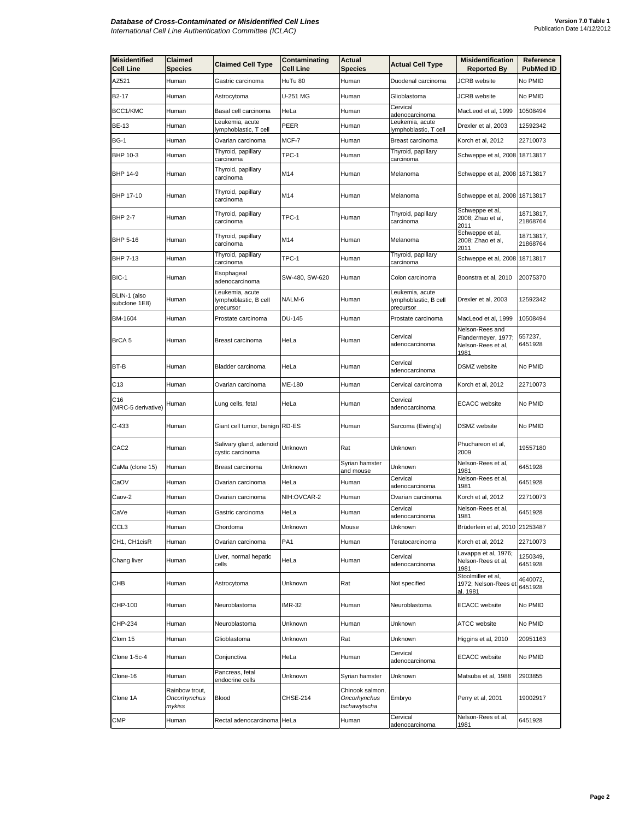| <b>Misidentified</b><br><b>Cell Line</b> | Claimed<br>Species                       | <b>Claimed Cell Type</b>                              | Contaminating<br><b>Cell Line</b> | <b>Actual</b><br><b>Species</b>                 | <b>Actual Cell Type</b>                               | Misidentification<br><b>Reported By</b>                              | Reference<br><b>PubMed ID</b> |
|------------------------------------------|------------------------------------------|-------------------------------------------------------|-----------------------------------|-------------------------------------------------|-------------------------------------------------------|----------------------------------------------------------------------|-------------------------------|
| AZ521                                    | Human                                    | Gastric carcinoma                                     | HuTu 80                           | Human                                           | Duodenal carcinoma                                    | <b>JCRB</b> website                                                  | No PMID                       |
| B <sub>2</sub> -17                       | Human                                    | Astrocytoma                                           | U-251 MG                          | Human                                           | Glioblastoma                                          | <b>JCRB</b> website                                                  | No PMID                       |
| BCC1/KMC                                 | Human                                    | Basal cell carcinoma                                  | HeLa                              | Human                                           | Cervical<br>adenocarcinoma                            | MacLeod et al, 1999                                                  | 10508494                      |
| <b>BE-13</b>                             | Human                                    | Leukemia, acute<br>lymphoblastic, T cell              | PEER                              | Human                                           | Leukemia, acute<br>lymphoblastic, T cell              | Drexler et al, 2003                                                  | 12592342                      |
| BG-1                                     | Human                                    | Ovarian carcinoma                                     | MCF-7                             | Human                                           | Breast carcinoma                                      | Korch et al, 2012                                                    | 22710073                      |
| BHP 10-3                                 | Human                                    | Thyroid, papillary<br><u>carcinoma</u>                | TPC-1                             | Human                                           | Thyroid, papillary<br>carcinoma                       | Schweppe et al, 2008 18713817                                        |                               |
| BHP 14-9                                 | Human                                    | Thyroid, papillary<br>carcinoma                       | M14                               | Human                                           | Melanoma                                              | Schweppe et al, 2008 18713817                                        |                               |
| BHP 17-10                                | Human                                    | Thyroid, papillary<br>carcinoma                       | M14                               | Human                                           | Melanoma                                              | Schweppe et al, 2008 18713817                                        |                               |
| <b>BHP 2-7</b>                           | Human                                    | Thyroid, papillary<br>carcinoma                       | TPC-1                             | Human                                           | Thyroid, papillary<br>carcinoma                       | Schweppe et al,<br>2008; Zhao et al,<br>2011                         | 18713817,<br>21868764         |
| BHP 5-16                                 | Human                                    | Thyroid, papillary<br>carcinoma                       | M14                               | Human                                           | Melanoma                                              | Schweppe et al,<br>2008; Zhao et al,<br>2011                         | 18713817,<br>21868764         |
| BHP 7-13                                 | Human                                    | Thyroid, papillary<br>carcinoma                       | TPC-1                             | Human                                           | Thyroid, papillary<br>carcinoma                       | Schweppe et al, 2008 18713817                                        |                               |
| BIC-1                                    | Human                                    | Esophageal<br>adenocarcinoma                          | SW-480, SW-620                    | Human                                           | Colon carcinoma                                       | Boonstra et al, 2010                                                 | 20075370                      |
| BLIN-1 (also<br>subclone 1E8)            | Human                                    | Leukemia, acute<br>lymphoblastic, B cell<br>precursor | NALM-6                            | Human                                           | Leukemia, acute<br>lymphoblastic, B cell<br>precursor | Drexler et al, 2003                                                  | 12592342                      |
| BM-1604                                  | Human                                    | Prostate carcinoma                                    | <b>DU-145</b>                     | Human                                           | Prostate carcinoma                                    | MacLeod et al, 1999                                                  | 10508494                      |
| BrCA 5                                   | Human                                    | Breast carcinoma                                      | HeLa                              | Human                                           | Cervical<br>adenocarcinoma                            | Nelson-Rees and<br>Flandermeyer, 1977;<br>Nelson-Rees et al,<br>1981 | 557237,<br>6451928            |
| BT-B                                     | Human                                    | Bladder carcinoma                                     | HeLa                              | Human                                           | Cervical<br>adenocarcinoma                            | DSMZ website                                                         | No PMID                       |
| C13                                      | Human                                    | Ovarian carcinoma                                     | ME-180                            | Human                                           | Cervical carcinoma                                    | Korch et al, 2012                                                    | 22710073                      |
| C16<br>(MRC-5 derivative)                | Human                                    | Lung cells, fetal                                     | HeLa                              | Human                                           | Cervical<br>adenocarcinoma                            | <b>ECACC</b> website                                                 | No PMID                       |
| $C-433$                                  | Human                                    | Giant cell tumor, benign RD-ES                        |                                   | Human                                           | Sarcoma (Ewing's)                                     | DSMZ website                                                         | No PMID                       |
| CAC <sub>2</sub>                         | Human                                    | Salivary gland, adenoid<br>cystic carcinoma           | Unknown                           | Rat                                             | Unknown                                               | Phuchareon et al,<br>2009                                            | 19557180                      |
| CaMa (clone 15)                          | Human                                    | Breast carcinoma                                      | Unknown                           | Syrian hamster<br>and mouse                     | Unknown                                               | Nelson-Rees et al,<br>1981                                           | 6451928                       |
| CaOV                                     | Human                                    | Ovarian carcinoma                                     | HeLa                              | Human                                           | Cervical<br>adenocarcinoma                            | Nelson-Rees et al,<br>1981                                           | 6451928                       |
| Caov-2                                   | Human                                    | Ovarian carcinoma                                     | NIH:OVCAR-2                       | Human                                           | Ovarian carcinoma                                     | Korch et al, 2012                                                    | 22710073                      |
| CaVe                                     | Human                                    | Gastric carcinoma                                     | HeLa                              | Human                                           | Cervical<br>adenocarcinoma                            | Nelson-Rees et al,<br>1981                                           | 6451928                       |
| CCL3                                     | Human                                    | Chordoma                                              | Unknown                           | Mouse                                           | Unknown                                               | Brüderlein et al, 2010 21253487                                      |                               |
| CH1, CH1cisR                             | Human                                    | Ovarian carcinoma                                     | PA <sub>1</sub>                   | Human                                           | Teratocarcinoma                                       | Korch et al, 2012                                                    | 22710073                      |
| Chang liver                              | Human                                    | Liver, normal hepatic<br>cells                        | HeLa                              | Human                                           | Cervical<br>adenocarcinoma                            | Lavappa et al, 1976;<br>Nelson-Rees et al,<br>1981                   | 1250349,<br>6451928           |
| СНВ                                      | Human                                    | Astrocytoma                                           | Unknown                           | Rat                                             | Not specified                                         | Stoolmiller et al,<br>1972; Nelson-Rees et<br>al. 1981               | 4640072,<br>6451928           |
| CHP-100                                  | Human                                    | Neuroblastoma                                         | <b>IMR-32</b>                     | Human                                           | Neuroblastoma                                         | <b>ECACC</b> website                                                 | No PMID                       |
| CHP-234                                  | Human                                    | Neuroblastoma                                         | Unknown                           | Human                                           | Unknown                                               | ATCC website                                                         | No PMID                       |
| Clom 15                                  | Human                                    | Glioblastoma                                          | Unknown                           | Rat                                             | Unknown                                               | Higgins et al, 2010                                                  | 20951163                      |
| Clone 1-5c-4                             | Human                                    | Conjunctiva                                           | HeLa                              | Human                                           | Cervical<br>adenocarcinoma                            | <b>ECACC</b> website                                                 | No PMID                       |
| Clone-16                                 | Human                                    | Pancreas, fetal<br>endocrine cells                    | Unknown                           | Syrian hamster                                  | Unknown                                               | Matsuba et al, 1988                                                  | 2903855                       |
| Clone 1A                                 | Rainbow trout,<br>Oncorhynchus<br>mykiss | <b>Blood</b>                                          | CHSE-214                          | Chinook salmon,<br>Oncorhynchus<br>tschawytscha | Embryo                                                | Perry et al, 2001                                                    | 19002917                      |
| <b>CMP</b>                               | Human                                    | Rectal adenocarcinoma HeLa                            |                                   | Human                                           | Cervical<br>adenocarcinoma                            | Nelson-Rees et al,<br>1981                                           | 6451928                       |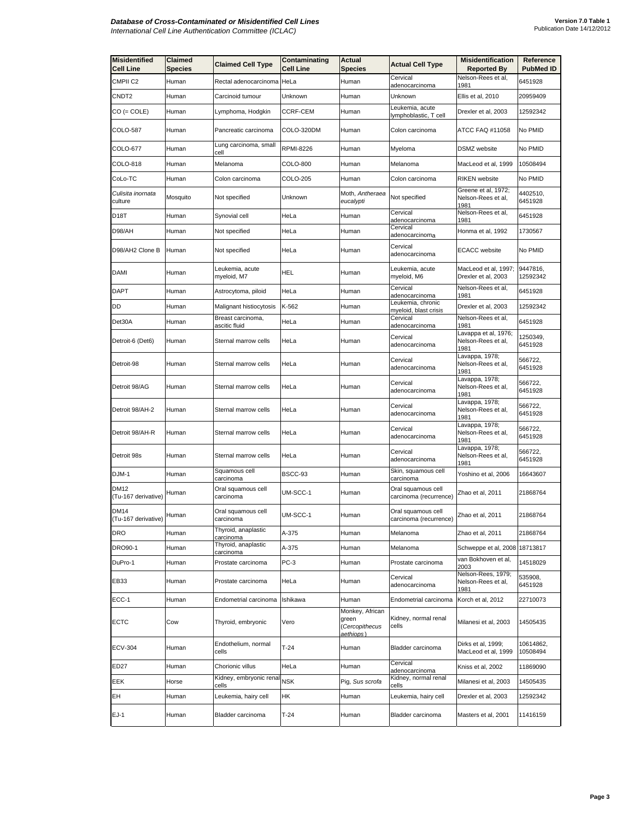| <b>Misidentified</b><br><b>Cell Line</b> | <b>Claimed</b><br><b>Species</b> | <b>Claimed Cell Type</b>           | Contaminating<br>Cell Line | Actual<br><b>Species</b>                                | <b>Actual Cell Type</b>                      | <b>Misidentification</b><br><b>Reported By</b>     | Reference<br><b>PubMed ID</b> |
|------------------------------------------|----------------------------------|------------------------------------|----------------------------|---------------------------------------------------------|----------------------------------------------|----------------------------------------------------|-------------------------------|
| CMPII <sub>C2</sub>                      | Human                            | Rectal adenocarcinoma              | HeLa                       | Human                                                   | Cervical<br>adenocarcinoma                   | Nelson-Rees et al,<br>1981                         | 6451928                       |
| CNDT2                                    | Human                            | Carcinoid tumour                   | Unknown                    | Human                                                   | Unknown                                      | Ellis et al, 2010                                  | 20959409                      |
| CO (= COLE)                              | Human                            | Lymphoma, Hodgkin                  | CCRF-CEM                   | Human                                                   | Leukemia, acute<br>lymphoblastic, T cell     | Drexler et al, 2003                                | 12592342                      |
| COLO-587                                 | Human                            | Pancreatic carcinoma               | COLO-320DM                 | Human                                                   | Colon carcinoma                              | ATCC FAQ #11058                                    | No PMID                       |
| COLO-677                                 | Human                            | Lung carcinoma, small<br>cell      | RPMI-8226                  | Human                                                   | Myeloma                                      | DSMZ website                                       | No PMID                       |
| COLO-818                                 | Human                            | Melanoma                           | COLO-800                   | Human                                                   | Melanoma                                     | MacLeod et al, 1999                                | 10508494                      |
| CoLo-TC                                  | Human                            | Colon carcinoma                    | COLO-205                   | Human                                                   | Colon carcinoma                              | <b>RIKEN</b> website                               | No PMID                       |
| Culisita inornata<br>culture             | Mosquito                         | Not specified                      | Unknown                    | Moth, Antheraea<br>eucalypti                            | Not specified                                | Greene et al, 1972;<br>Nelson-Rees et al,<br>1981  | 4402510,<br>6451928           |
| D18T                                     | Human                            | Synovial cell                      | HeLa                       | Human                                                   | Cervical<br>adenocarcinoma                   | Nelson-Rees et al,<br>1981                         | 6451928                       |
| D98/AH                                   | Human                            | Not specified                      | HeLa                       | Human                                                   | Cervical<br>adenocarcinoma                   | Honma et al, 1992                                  | 1730567                       |
| D98/AH2 Clone B                          | Human                            | Not specified                      | HeLa                       | Human                                                   | Cervical<br>adenocarcinoma                   | <b>ECACC</b> website                               | No PMID                       |
| <b>DAMI</b>                              | Human                            | Leukemia, acute<br>myeloid, M7     | HEL                        | Human                                                   | Leukemia, acute<br>myeloid, M6               | MacLeod et al, 1997;<br>Drexler et al, 2003        | 9447816,<br>12592342          |
| DAPT                                     | Human                            | Astrocytoma, piloid                | HeLa                       | Human                                                   | Cervical<br>adenocarcinoma                   | Nelson-Rees et al,<br>1981                         | 6451928                       |
| DD                                       | Human                            | Malignant histiocytosis            | K-562                      | Human                                                   | Leukemia, chronic<br>myeloid, blast crisis   | Drexler et al, 2003                                | 12592342                      |
| Det30A                                   | Human                            | Breast carcinoma,<br>ascitic fluid | HeLa                       | Human                                                   | Cervical<br>adenocarcinoma                   | Nelson-Rees et al,<br>1981                         | 6451928                       |
| Detroit-6 (Det6)                         | Human                            | Sternal marrow cells               | HeLa                       | Human                                                   | Cervical<br>adenocarcinoma                   | Lavappa et al, 1976;<br>Nelson-Rees et al,<br>1981 | 1250349,<br>6451928           |
| Detroit-98                               | Human                            | Sternal marrow cells               | HeLa                       | Human                                                   | Cervical<br>adenocarcinoma                   | Lavappa, 1978;<br>Nelson-Rees et al,<br>1981       | 566722,<br>6451928            |
| Detroit 98/AG                            | Human                            | Sternal marrow cells               | HeLa                       | Human                                                   | Cervical<br>adenocarcinoma                   | Lavappa, 1978;<br>Nelson-Rees et al,<br>1981       | 566722,<br>6451928            |
| Detroit 98/AH-2                          | Human                            | Sternal marrow cells               | HeLa                       | Human                                                   | Cervical<br>adenocarcinoma                   | Lavappa, 1978;<br>Nelson-Rees et al,<br>1981       | 566722,<br>6451928            |
| Detroit 98/AH-R                          | Human                            | Sternal marrow cells               | HeLa                       | Human                                                   | Cervical<br>adenocarcinoma                   | Lavappa, 1978;<br>Nelson-Rees et al,<br>1981       | 566722,<br>6451928            |
| Detroit 98s                              | Human                            | Sternal marrow cells               | HeLa                       | Human                                                   | Cervical<br>adenocarcinoma                   | Lavappa, 1978;<br>Nelson-Rees et al,<br>1981       | 566722,<br>6451928            |
| DJM-1                                    | Human                            | Squamous cell<br>carcinoma         | BSCC-93                    | Human                                                   | Skin, squamous cell<br>carcinoma             | Yoshino et al, 2006                                | 16643607                      |
| DM12<br>(Tu-167 derivative)              | Human                            | Oral squamous cell<br>carcinoma    | UM-SCC-1                   | Human                                                   | Oral squamous cell<br>carcinoma (recurrence) | Zhao et al, 2011                                   | 21868764                      |
| <b>DM14</b><br>(Tu-167 derivative)       | Human                            | Oral squamous cell<br>carcınoma    | UM-SCC-1                   | Human                                                   | Oral squamous cell<br>carcinoma (recurrence) | Zhao et al, 2011                                   | 21868764                      |
| <b>DRO</b>                               | Human                            | Thyroid, anaplastic<br>carcinoma   | A-375                      | Human                                                   | Melanoma                                     | Zhao et al, 2011                                   | 21868764                      |
| <b>DRO90-1</b>                           | Human                            | Thyroid, anaplastic<br>carcinoma   | A-375                      | Human                                                   | Melanoma                                     | Schweppe et al, 2008                               | 18713817                      |
| DuPro-1                                  | Human                            | Prostate carcinoma                 | PC-3                       | Human                                                   | Prostate carcinoma                           | van Bokhoven et al,<br>2003                        | 14518029                      |
| EB33                                     | Human                            | Prostate carcinoma                 | HeLa                       | Human                                                   | Cervical<br>adenocarcinoma                   | Nelson-Rees, 1979;<br>Nelson-Rees et al,<br>1981   | 535908,<br>6451928            |
| ECC-1                                    | Human                            | Endometrial carcinoma              | Ishikawa                   | Human                                                   | Endometrial carcinoma                        | Korch et al, 2012                                  | 22710073                      |
| <b>ECTC</b>                              | Cow                              | Thyroid, embryonic                 | Vero                       | Monkey, African<br>green<br>(Cercopithecus<br>aethiops) | Kidney, normal renal<br>cells                | Milanesi et al, 2003                               | 14505435                      |
| <b>ECV-304</b>                           | Human                            | Endothelium, normal<br>cells       | $T-24$                     | Human                                                   | Bladder carcinoma                            | Dirks et al, 1999;<br>MacLeod et al, 1999          | 10614862,<br>10508494         |
| ED27                                     | Human                            | Chorionic villus                   | HeLa                       | Human                                                   | Cervical<br>adenocarcinoma                   | Kniss et al, 2002                                  | 11869090                      |
| EEK                                      | Horse                            | Kidney, embryonic renal<br>cells   | NSK                        | Pig, Sus scrofa                                         | Kidney, normal renal                         | Milanesi et al, 2003                               | 14505435                      |
| EН                                       | Human                            | Leukemia, hairy cell               | HΚ                         | Human                                                   | Leukemia, hairy cell                         | Drexler et al, 2003                                | 12592342                      |
| $EJ-1$                                   | Human                            | Bladder carcinoma                  | $T-24$                     | Human                                                   | Bladder carcinoma                            | Masters et al, 2001                                | 11416159                      |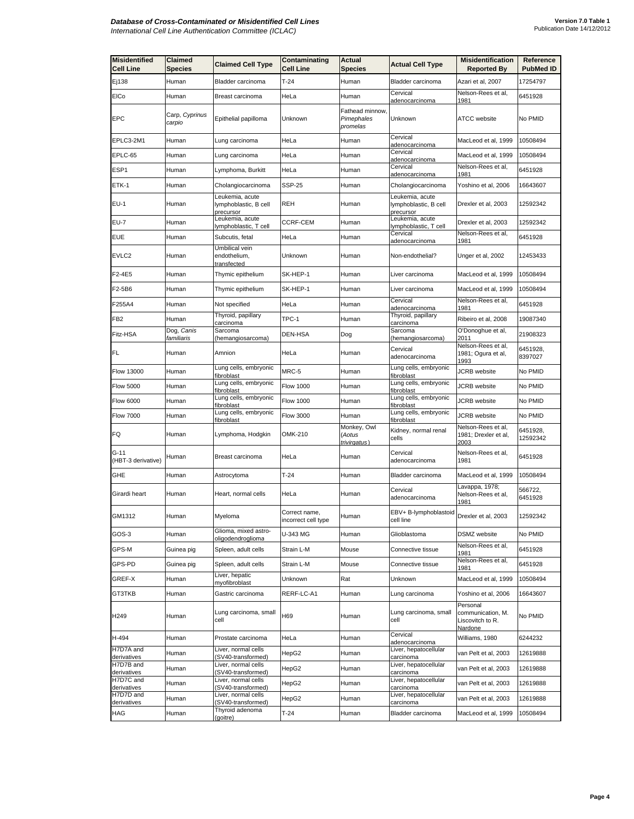| <b>Misidentified</b><br><b>Cell Line</b> | Claimed<br>Species       | <b>Claimed Cell Type</b>                              | Contaminating<br><b>Cell Line</b>    | <b>Actual</b><br><b>Species</b>          | <b>Actual Cell Type</b>                                | <b>Misidentification</b><br><b>Reported By</b>               | Reference<br><b>PubMed ID</b> |
|------------------------------------------|--------------------------|-------------------------------------------------------|--------------------------------------|------------------------------------------|--------------------------------------------------------|--------------------------------------------------------------|-------------------------------|
| Ej138                                    | Human                    | Bladder carcinoma                                     | $T-24$                               | Human                                    | Bladder carcinoma                                      | Azari et al, 2007                                            | 17254797                      |
| <b>EICo</b>                              | Human                    | Breast carcinoma                                      | HeLa                                 | Human                                    | Cervical<br>adenocarcinoma                             | Nelson-Rees et al,<br>1981                                   | 6451928                       |
| EPC                                      | Carp, Cyprinus<br>carpio | Epithelial papilloma                                  | Unknown                              | Fathead minnow<br>Pimephales<br>promelas | Unknown                                                | <b>ATCC</b> website                                          | No PMID                       |
| EPLC3-2M1                                | Human                    | Lung carcinoma                                        | HeLa                                 | Human                                    | Cervical<br>adenocarcinoma                             | MacLeod et al, 1999                                          | 10508494                      |
| EPLC-65                                  | Human                    | Lung carcinoma                                        | HeLa                                 | Human                                    | Cervical<br>adenocarcinoma                             | MacLeod et al, 1999                                          | 10508494                      |
| ESP1                                     | Human                    | Lymphoma, Burkitt                                     | HeLa                                 | Human                                    | Cervical<br>adenocarcinoma                             | Nelson-Rees et al,<br>1981                                   | 6451928                       |
| ETK-1                                    | Human                    | Cholangiocarcinoma                                    | SSP-25                               | Human                                    | Cholangiocarcinoma                                     | Yoshino et al, 2006                                          | 16643607                      |
| EU-1                                     | Human                    | Leukemia, acute<br>lymphoblastic, B cell<br>precursor | REH                                  | Human                                    | Leukemia, acute<br>lymphoblastic, B cell<br>precursor  | Drexler et al, 2003                                          | 12592342                      |
| EU-7                                     | Human                    | Leukemia, acute<br>lymphoblastic, T cell              | <b>CCRF-CEM</b>                      | Human                                    | Leukemia, acute<br>ymphoblastic, T cell                | Drexler et al, 2003                                          | 12592342                      |
| EUE                                      | Human                    | Subcutis, fetal                                       | HeLa                                 | Human                                    | Cervical<br>adenocarcinoma                             | Nelson-Rees et al,<br>1981                                   | 6451928                       |
| EVLC2                                    | Human                    | Umbilical vein<br>endothelium,<br><u>transfected</u>  | Unknown                              | Human                                    | Non-endothelial?                                       | Unger et al, 2002                                            | 12453433                      |
| F2-4E5                                   | Human                    | Thymic epithelium                                     | SK-HEP-1                             | Human                                    | Liver carcinoma                                        | MacLeod et al, 1999                                          | 10508494                      |
| F2-5B6                                   | Human                    | Thymic epithelium                                     | SK-HEP-1                             | Human                                    | Liver carcinoma                                        | MacLeod et al, 1999                                          | 10508494                      |
| F255A4                                   | Human                    | Not specified                                         | HeLa                                 | Human                                    | Cervical<br>adenocarcinoma                             | Nelson-Rees et al,<br>1981                                   | 6451928                       |
| FB <sub>2</sub>                          | Human                    | Thyroid, papillary<br>carcinoma                       | TPC-1                                | Human                                    | Thyroid, papillary<br>carcinoma                        | Ribeiro et al, 2008                                          | 19087340                      |
| Fitz-HSA                                 | Dog, Canis<br>familiaris | Sarcoma<br>(hemangiosarcoma)                          | DEN-HSA                              | Dog                                      | Sarcoma<br>(hemangiosarcoma)                           | O'Donoghue et al,<br>2011                                    | 21908323                      |
| FL                                       | Human                    | Amnion                                                | HeLa                                 | Human                                    | Cervical<br>adenocarcinoma                             | Nelson-Rees et al,<br>1981; Ogura et al,<br>1993             | 6451928,<br>8397027           |
| Flow 13000                               | Human                    | Lung cells, embryonic<br>fibroblast                   | MRC-5                                | Human                                    | Lung cells, embryonic<br>ïbroblast                     | <b>JCRB</b> website                                          | No PMID                       |
| <b>Flow 5000</b>                         | Human                    | Lung cells, embryonic<br>fibroblast                   | <b>Flow 1000</b>                     | Human                                    | Lung cells, embryonic<br>fibroblast                    | JCRB website                                                 | No PMID                       |
| Flow 6000                                | Human                    | Lung cells, embryonic<br>fibroblast                   | <b>Flow 1000</b>                     | Human                                    | Lung cells, embryonic<br>fibroblast                    | JCRB website                                                 | No PMID                       |
| <b>Flow 7000</b>                         | Human                    | Lung cells, embryonic<br>fibroblast                   | <b>Flow 3000</b>                     | Human                                    | Lung cells, embryonic<br>fibroblast                    | <b>JCRB</b> website                                          | No PMID                       |
| FQ                                       | Human                    | Lymphoma, Hodgkin                                     | OMK-210                              | Monkey, Owl<br>(Aotus<br>trivirgatus)    | Kidney, normal renal<br>cells                          | Nelson-Rees et al,<br>1981; Drexler et al,<br>2003           | 6451928,<br>12592342          |
| G-11<br>(HBT-3 derivative)               | Human                    | Breast carcinoma                                      | HeLa                                 | Human                                    | Cervical<br>adenocarcinoma                             | Nelson-Rees et al,<br>1981                                   | 6451928                       |
| GHE                                      | Human                    | Astrocytoma                                           | $T-24$                               | Human                                    | Bladder carcinoma                                      | MacLeod et al, 1999                                          | 10508494                      |
| Girardi heart                            | Human                    | Heart, normal cells                                   | HeLa                                 | Human                                    | Cervical<br>adenocarcinoma                             | Lavappa, 1978;<br>Nelson-Rees et al,<br>1981                 | 566722,<br>6451928            |
| GM1312                                   | Human                    | Myeloma                                               | Correct name,<br>incorrect cell type | Human                                    | EBV+ B-lymphoblastoid Drexler et al, 2003<br>cell line |                                                              | 12592342                      |
| GOS-3                                    | Human                    | Glioma, mixed astro-<br>oligodendroglioma             | U-343 MG                             | Human                                    | Glioblastoma                                           | DSMZ website                                                 | No PMID                       |
| GPS-M                                    | Guinea pig               | Spleen, adult cells                                   | Strain L-M                           | Mouse                                    | Connective tissue                                      | Nelson-Rees et al,<br>1981                                   | 6451928                       |
| GPS-PD                                   | Guinea pig               | Spleen, adult cells                                   | Strain L-M                           | Mouse                                    | Connective tissue                                      | Nelson-Rees et al,<br>1981                                   | 6451928                       |
| GREF-X                                   | Human                    | Liver, hepatic<br>myofibroblast                       | Unknown                              | Rat                                      | Unknown                                                | MacLeod et al, 1999                                          | 10508494                      |
| <b>GT3TKB</b>                            | Human                    | Gastric carcinoma                                     | RERF-LC-A1                           | Human                                    | Lung carcinoma                                         | Yoshino et al, 2006                                          | 16643607                      |
| H <sub>249</sub>                         | Human                    | Lung carcinoma, small<br>cell                         | H69                                  | Human                                    | Lung carcinoma, small<br>cell                          | Personal<br>communication, M.<br>Liscovitch to R.<br>Nardone | No PMID                       |
| H-494                                    | Human                    | Prostate carcinoma                                    | HeLa                                 | Human                                    | Cervical<br>adenocarcinoma                             | Williams, 1980                                               | 6244232                       |
| H7D7A and<br>derivatives                 | Human                    | Liver, normal cells<br>(SV40-transformed)             | HepG2                                | Human                                    | Liver, hepatocellular<br>carcinoma                     | van Pelt et al, 2003                                         | 12619888                      |
| H7D7B and<br>derivatives                 | Human                    | Liver, normal cells<br>(SV40-transformed)             | HepG2                                | Human                                    | Liver, hepatocellular<br>carcinoma                     | van Pelt et al, 2003                                         | 12619888                      |
| H7D7C and<br>derivatives                 | Human                    | Liver, normal cells<br>(SV40-transformed)             | HepG2                                | Human                                    | Liver, hepatocellular<br>carcinoma                     | van Pelt et al, 2003                                         | 12619888                      |
| H7D7D and<br>derivatives                 | Human                    | Liver, normal cells<br>(SV40-transformed)             | HepG2                                | Human                                    | Liver, hepatocellular                                  | van Pelt et al, 2003                                         | 12619888                      |
| HAG                                      | Human                    | Thyroid adenoma<br>(goitre)                           | T-24                                 | Human                                    | carcinoma<br>Bladder carcinoma                         | MacLeod et al, 1999                                          | 10508494                      |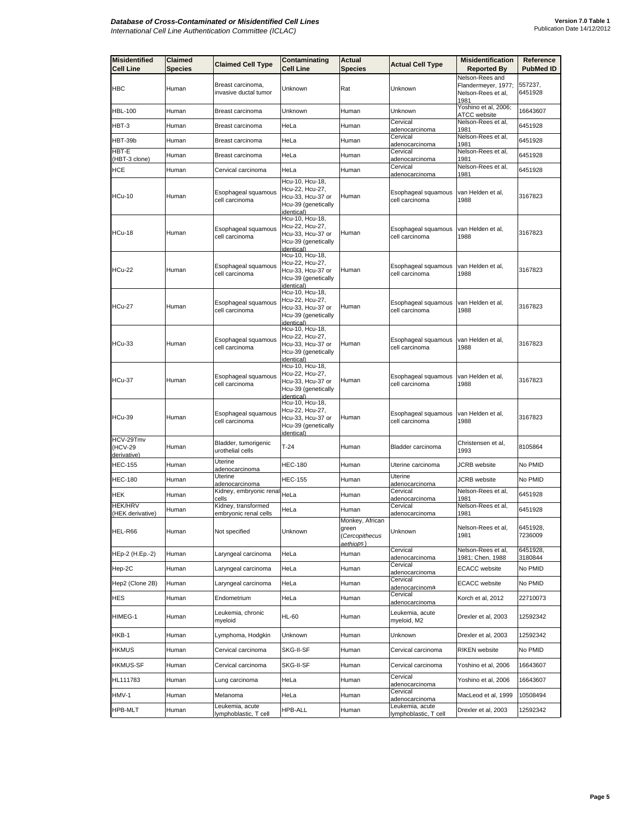| <b>Misidentified</b><br><b>Cell Line</b> | Claimed<br>Species | <b>Claimed Cell Type</b>                   | Contaminating<br><b>Cell Line</b>                                                                   | <b>Actual</b><br><b>Species</b>                         | Actual Cell Type                                        | <b>Misidentification</b><br><b>Reported By</b>                       | Reference<br><b>PubMed ID</b> |
|------------------------------------------|--------------------|--------------------------------------------|-----------------------------------------------------------------------------------------------------|---------------------------------------------------------|---------------------------------------------------------|----------------------------------------------------------------------|-------------------------------|
| <b>HBC</b>                               | Human              | Breast carcinoma.<br>invasive ductal tumor | Unknown                                                                                             | Rat                                                     | Unknown                                                 | Nelson-Rees and<br>Flandermeyer, 1977;<br>Nelson-Rees et al,<br>1981 | 557237,<br>6451928            |
| HBL-100                                  | Human              | Breast carcinoma                           | Unknown                                                                                             | Human                                                   | Unknown                                                 | Yoshino et al, 2006;<br>ATCC website                                 | 16643607                      |
| HBT-3                                    | Human              | Breast carcinoma                           | HeLa                                                                                                | Human                                                   | Cervical<br>adenocarcinoma                              | Nelson-Rees et al.<br>1981                                           | 6451928                       |
| HBT-39b                                  | Human              | Breast carcinoma                           | HeLa                                                                                                | Human                                                   | Cervical<br>adenocarcinoma                              | Nelson-Rees et al,<br>1981                                           | 6451928                       |
| HBT-E<br>(HBT-3 clone)                   | Human              | Breast carcinoma                           | HeLa                                                                                                | Human                                                   | Cervical<br>adenocarcinoma                              | Nelson-Rees et al,<br>1981                                           | 6451928                       |
| HCE                                      | Human              | Cervical carcinoma                         | HeLa                                                                                                | Human                                                   | Cervical                                                | Nelson-Rees et al,                                                   | 6451928                       |
| <b>HCu-10</b>                            | Human              | Esophageal squamous<br>cell carcinoma      | Hcu-10, Hcu-18,<br>Hcu-22, Hcu-27,<br>Hcu-33, Hcu-37 or<br>Hcu-39 (genetically<br>identical)        | Human                                                   | adenocarcinoma<br>Esophageal squamous<br>cell carcinoma | 1981<br>van Helden et al,<br>1988                                    | 3167823                       |
| HCu-18                                   | Human              | Esophageal squamous<br>cell carcinoma      | Hcu-10, Hcu-18,<br>Hcu-22, Hcu-27,<br>Hcu-33, Hcu-37 or<br>Hcu-39 (genetically<br><i>identical)</i> | Human                                                   | Esophageal squamous<br>cell carcinoma                   | van Helden et al,<br>1988                                            | 3167823                       |
| HCu-22                                   | Human              | Esophageal squamous<br>cell carcinoma      | Hcu-10, Hcu-18,<br>Hcu-22, Hcu-27,<br>Hcu-33, Hcu-37 or<br>Hcu-39 (genetically<br>identical)        | Human                                                   | Esophageal squamous<br>cell carcinoma                   | van Helden et al,<br>1988                                            | 3167823                       |
| <b>HCu-27</b>                            | Human              | Esophageal squamous<br>cell carcinoma      | Hcu-10, Hcu-18,<br>Hcu-22, Hcu-27,<br>Hcu-33, Hcu-37 or<br>Hcu-39 (genetically<br>dentical)         | Human                                                   | Esophageal squamous<br>cell carcinoma                   | van Helden et al,<br>1988                                            | 3167823                       |
| HCu-33                                   | Human              | Esophageal squamous<br>cell carcinoma      | Hcu-10, Hcu-18,<br>Hcu-22, Hcu-27,<br>Hcu-33, Hcu-37 or<br>Hcu-39 (genetically<br>identical)        | Human                                                   | Esophageal squamous<br>cell carcinoma                   | van Helden et al,<br>1988                                            | 3167823                       |
| <b>HCu-37</b>                            | Human              | Esophageal squamous<br>cell carcinoma      | Hcu-10, Hcu-18,<br>Hcu-22, Hcu-27,<br>Hcu-33, Hcu-37 or<br>Hcu-39 (genetically<br>identical)        | Human                                                   | Esophageal squamous<br>cell carcinoma                   | van Helden et al,<br>1988                                            | 3167823                       |
| HCu-39                                   | Human              | Esophageal squamous<br>cell carcinoma      | Hcu-10, Hcu-18,<br>Hcu-22, Hcu-27,<br>Hcu-33, Hcu-37 or<br>Hcu-39 (genetically<br>identical)        | Human                                                   | Esophageal squamous<br>cell carcinoma                   | van Helden et al,<br>1988                                            | 3167823                       |
| HCV-29Tmv<br>(HCV-29<br>derivative)      | Human              | Bladder, tumorigenic<br>urothelial cells   | $T-24$                                                                                              | Human                                                   | Bladder carcinoma                                       | Christensen et al,<br>1993                                           | 8105864                       |
| <b>HEC-155</b>                           | Human              | Uterine<br>adenocarcinoma                  | HEC-180                                                                                             | Human                                                   | Uterine carcinoma                                       | <b>JCRB</b> website                                                  | No PMID                       |
| <b>HEC-180</b>                           | Human              | Uterine<br><u>adenocarcinoma</u>           | <b>HEC-155</b>                                                                                      | Human                                                   | Uterine<br>adenocarcinoma                               | JCRB website                                                         | No PMID                       |
| HEK                                      | Human              | Kidney, embryonic renal<br>cells           | HeLa                                                                                                | Human                                                   | Cervical<br>adenocarcinoma                              | Nelson-Rees et al,<br>1981                                           | 6451928                       |
| <b>HEK/HRV</b>                           | Human              | Kidney, transformed                        | HeLa                                                                                                | Human                                                   | Cervical                                                | Nelson-Rees et al,                                                   | 6451928                       |
| (HEK derivative)<br>HEL-R66              | Human              | embryonic renal cells<br>Not specified     | Unknown                                                                                             | Monkey, African<br>green<br>(Cercopithecus<br>aethiops) | <u>adenocarcinoma</u><br>Unknown                        | <u> 1981</u><br>Nelson-Rees et al,<br>1981                           | 6451928,<br>7236009           |
| HEp-2 (H.Ep.-2)                          | Human              | Laryngeal carcinoma                        | HeLa                                                                                                | Human                                                   | Cervical<br>adenocarcinoma                              | Nelson-Rees et al,<br>1981; Chen, 1988                               | 6451928,<br>3180844           |
| Hep-2C                                   | Human              | Laryngeal carcinoma                        | HeLa                                                                                                | Human                                                   | Cervical<br>adenocarcinoma                              | <b>ECACC</b> website                                                 | No PMID                       |
| Hep2 (Clone 2B)                          | Human              | Laryngeal carcinoma                        | HeLa                                                                                                | Human                                                   | Cervical<br>adenocarcinoma                              | <b>ECACC</b> website                                                 | No PMID                       |
| HES                                      | Human              | Endometrium                                | HeLa                                                                                                | Human                                                   | Cervical<br>adenocarcinoma                              | Korch et al, 2012                                                    | 22710073                      |
| HIMEG-1                                  | Human              | Leukemia, chronic<br>myeloid               | <b>HL-60</b>                                                                                        | Human                                                   | Leukemia, acute<br>myeloid, M2                          | Drexler et al, 2003                                                  | 12592342                      |
| HKB-1                                    | Human              | Lymphoma, Hodgkin                          | Unknown                                                                                             | Human                                                   | Unknown                                                 | Drexler et al, 2003                                                  | 12592342                      |
| <b>HKMUS</b>                             | Human              | Cervical carcinoma                         | SKG-II-SF                                                                                           | Human                                                   | Cervical carcinoma                                      | <b>RIKEN</b> website                                                 | No PMID                       |
| <b>HKMUS-SF</b>                          | Human              | Cervical carcinoma                         | SKG-II-SF                                                                                           | Human                                                   | Cervical carcinoma                                      | Yoshino et al, 2006                                                  | 16643607                      |
| HL111783                                 | Human              | Lung carcinoma                             | HeLa                                                                                                | Human                                                   | Cervical<br>adenocarcinoma                              | Yoshino et al, 2006                                                  | 16643607                      |
| HMV-1                                    | Human              | Melanoma                                   | HeLa                                                                                                | Human                                                   | Cervical<br>adenocarcinoma                              | MacLeod et al, 1999                                                  | 10508494                      |
| HPB-MLT                                  | Human              | Leukemia, acute<br>lymphoblastic, T cell   | <b>HPB-ALL</b>                                                                                      | Human                                                   | Leukemia, acute<br>lymphoblastic, T cell                | Drexler et al, 2003                                                  | 12592342                      |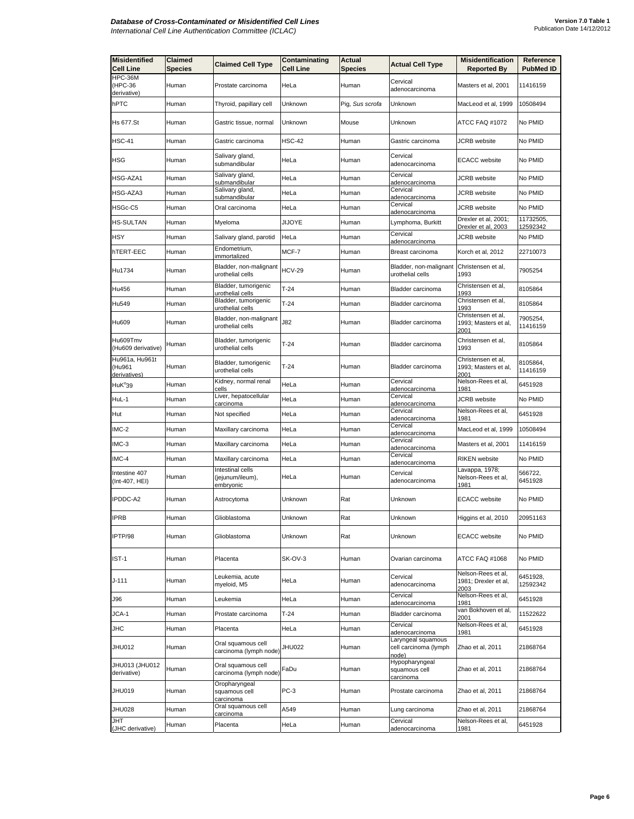| <b>Misidentified</b><br><b>Cell Line</b> | Claimed<br><b>Species</b> | <b>Claimed Cell Type</b>                          | Contaminating<br>Cell Line | Actual<br><b>Species</b> | <b>Actual Cell Type</b>                              | <b>Misidentification</b><br><b>Reported By</b>     | Reference<br><b>PubMed ID</b> |
|------------------------------------------|---------------------------|---------------------------------------------------|----------------------------|--------------------------|------------------------------------------------------|----------------------------------------------------|-------------------------------|
| HPC-36M<br>(HPC-36<br>derivative)        | Human                     | Prostate carcinoma                                | HeLa                       | Human                    | Cervical<br>adenocarcinoma                           | Masters et al, 2001                                | 11416159                      |
| hPTC                                     | Human                     | Thyroid, papillary cell                           | Unknown                    | Pig, Sus scrofa          | Unknown                                              | MacLeod et al, 1999                                | 10508494                      |
| Hs 677.St                                | Human                     | Gastric tissue, normal                            | Unknown                    | Mouse                    | Unknown                                              | ATCC FAQ #1072                                     | No PMID                       |
| <b>HSC-41</b>                            | Human                     | Gastric carcinoma                                 | HSC-42                     | Human                    | Gastric carcinoma                                    | JCRB website                                       | No PMID                       |
| HSG                                      | Human                     | Salivary gland,<br>submandibular                  | HeLa                       | Human                    | Cervical<br>adenocarcinoma                           | <b>ECACC</b> website                               | No PMID                       |
| HSG-AZA1                                 | Human                     | Salivary gland,<br>submandibular                  | HeLa                       | Human                    | Cervical<br>adenocarcinoma                           | <b>JCRB</b> website                                | No PMID                       |
| HSG-AZA3                                 | Human                     | Salivary gland,<br>submandibular                  | HeLa                       | Human                    | Cervical<br>adenocarcinoma                           | <b>JCRB</b> website                                | No PMID                       |
| HSGc-C5                                  | Human                     | Oral carcinoma                                    | HeLa                       | Human                    | Cervical<br>adenocarcinoma                           | JCRB website                                       | No PMID                       |
| <b>HS-SULTAN</b>                         | Human                     | Myeloma                                           | JIJOYE                     | Human                    | Lymphoma, Burkitt                                    | Drexler et al, 2001;<br>Drexler et al, 2003        | 11732505,<br>12592342         |
| HSY                                      | Human                     | Salivary gland, parotid                           | HeLa                       | Human                    | Cervical<br>adenocarcinoma                           | JCRB website                                       | No PMID                       |
| hTERT-EEC                                | Human                     | Endometrium,<br>immortalized                      | MCF-7                      | Human                    | Breast carcinoma                                     | Korch et al, 2012                                  | 22710073                      |
| Hu1734                                   | Human                     | Bladder, non-malignant<br>urothelial cells        | <b>HCV-29</b>              | Human                    | Bladder, non-malignant<br>urothelial cells           | Christensen et al,<br>1993                         | 7905254                       |
| Hu456                                    | Human                     | Bladder, tumorigenic<br>urothelial cells          | $T-24$                     | Human                    | Bladder carcinoma                                    | Christensen et al,<br>1993                         | 8105864                       |
| Hu549                                    | Human                     | Bladder, tumorigenic<br>urothelial cells          | $T-24$                     | Human                    | Bladder carcinoma                                    | Christensen et al,<br>1993                         | 8105864                       |
| Hu609                                    | Human                     | Bladder, non-malignant<br>urothelial cells        | J82                        | Human                    | Bladder carcinoma                                    | Christensen et al,<br>1993; Masters et al,<br>2001 | 7905254,<br>11416159          |
| Hu609Tmv<br>(Hu609 derivative)           | Human                     | Bladder, tumorigenic<br>urothelial cells          | $T-24$                     | Human                    | Bladder carcinoma                                    | Christensen et al,<br>1993                         | 8105864                       |
| Hu961a, Hu961t<br>(Hu961<br>derivatives) | Human                     | Bladder, tumorigenic<br>urothelial cells          | $T-24$                     | Human                    | Bladder carcinoma                                    | Christensen et al,<br>1993; Masters et al,<br>2001 | 8105864,<br>11416159          |
| HuK <sup>°</sup> 39                      | Human                     | Kidney, normal renal<br>cells                     | HeLa                       | Human                    | Cervical<br>adenocarcinoma                           | Nelson-Rees et al,<br>1981                         | 6451928                       |
| HuL-1                                    | Human                     | Liver, hepatocellular<br>carcinoma                | HeLa                       | Human                    | Cervical<br>adenocarcinoma                           | <b>JCRB</b> website                                | No PMID                       |
| Hut                                      | Human                     | Not specified                                     | HeLa                       | Human                    | Cervical<br>adenocarcinoma                           | Nelson-Rees et al,<br>1981                         | 6451928                       |
| IMC-2                                    | Human                     | Maxillary carcinoma                               | HeLa                       | Human                    | Cervical<br>adenocarcinoma                           | MacLeod et al, 1999                                | 10508494                      |
| IMC-3                                    | Human                     | Maxillary carcinoma                               | HeLa                       | Human                    | Cervical<br>adenocarcinoma                           | Masters et al, 2001                                | 11416159                      |
| IMC-4                                    | Human                     | Maxillary carcinoma                               | HeLa                       | Human                    | Cervical<br>adenocarcinoma                           | <b>RIKEN</b> website                               | No PMID                       |
| Intestine 407<br>(Int-407, HEI)          | Human                     | Intestinal cells<br>(jejunum/ileum),<br>embryonic | HeLa                       | Human                    | Cervical<br>adenocarcinoma                           | Lavappa, 1978;<br>Nelson-Rees et al,<br>1981       | 566722,<br>6451928            |
| IPDDC-A2                                 | Human                     | Astrocytoma                                       | Unknown                    | Rat                      | Unknown                                              | <b>ECACC</b> website                               | No PMID                       |
| <b>IPRB</b>                              | Human                     | Glioblastoma                                      | Unknown                    | Kat                      | Unknown                                              | Higgins et al, 2010                                | 20951163                      |
| IPTP/98                                  | Human                     | Glioblastoma                                      | Unknown                    | Rat                      | Unknown                                              | <b>ECACC</b> website                               | No PMID                       |
| IST-1                                    | Human                     | Placenta                                          | SK-OV-3                    | Human                    | Ovarian carcinoma                                    | ATCC FAQ #1068                                     | No PMID                       |
| J-111                                    | Human                     | Leukemia, acute<br>myeloid, M5                    | HeLa                       | Human                    | Cervical<br>adenocarcinoma                           | Nelson-Rees et al,<br>1981; Drexler et al,<br>2003 | 6451928,<br>12592342          |
| J96                                      | Human                     | Leukemia                                          | HeLa                       | Human                    | Cervical<br>adenocarcinoma                           | Nelson-Rees et al,<br>1981                         | 6451928                       |
| JCA-1                                    | Human                     | Prostate carcinoma                                | T-24                       | Human                    | Bladder carcinoma                                    | van Bokhoven et al,<br>2001                        | 11522622                      |
| JHC                                      | Human                     | Placenta                                          | HeLa                       | Human                    | Cervical<br>adenocarcinoma                           | Nelson-Rees et al,<br>1981                         | 6451928                       |
| JHU012                                   | Human                     | Oral squamous cell<br>carcinoma (lymph node)      | JHU022                     | Human                    | Laryngeal squamous<br>cell carcinoma (lymph<br>node) | Zhao et al, 2011                                   | 21868764                      |
| JHU013 (JHU012<br>derivative)            | Human                     | Oral squamous cell<br>carcinoma (lymph node)      | FaDu                       | Human                    | Hypopharyngeal<br>squamous cell<br>carcinoma         | Zhao et al, 2011                                   | 21868764                      |
| JHU019                                   | Human                     | Oropharyngeal<br>squamous cell<br>carcinoma       | $PC-3$                     | Human                    | Prostate carcinoma                                   | Zhao et al, 2011                                   | 21868764                      |
| <b>JHU028</b>                            | Human                     | Oral squamous cell<br>carcinoma                   | A549                       | Human                    | Lung carcinoma                                       | Zhao et al, 2011                                   | 21868764                      |
| <b>JHT</b><br>(JHC derivative)           | Human                     | Placenta                                          | HeLa                       | Human                    | Cervical<br>adenocarcinoma                           | Nelson-Rees et al,<br>1981                         | 6451928                       |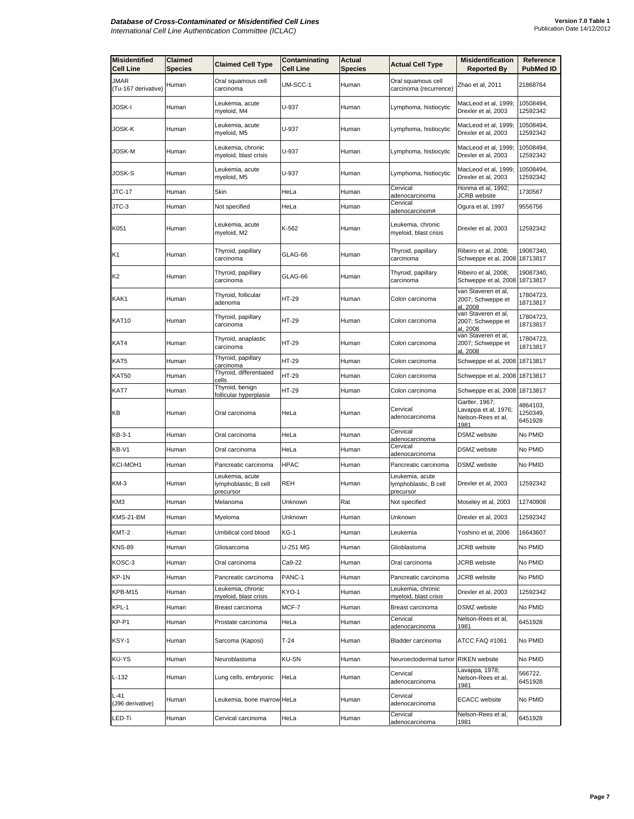| <b>Misidentified</b><br><b>Cell Line</b> | Claimed<br><b>Species</b> | <b>Claimed Cell Type</b>                              | Contaminating<br>Cell Line | Actual<br>Species | <b>Actual Cell Type</b>                               | <b>Misidentification</b><br><b>Reported By</b>                       | Reference<br><b>PubMed ID</b>   |
|------------------------------------------|---------------------------|-------------------------------------------------------|----------------------------|-------------------|-------------------------------------------------------|----------------------------------------------------------------------|---------------------------------|
| JMAR<br>(Tu-167 derivative)              | Human                     | Oral squamous cell<br>carcinoma                       | UM-SCC-1                   | Human             | Oral squamous cell<br>carcinoma (recurrence)          | Zhao et al, 2011                                                     | 21868764                        |
| JOSK-I                                   | Human                     | Leukemia, acute<br>myeloid, M4                        | U-937                      | Human             | Lymphoma, histiocytic                                 | MacLeod et al, 1999;<br>Drexler et al, 2003                          | 10508494,<br>12592342           |
| JOSK-K                                   | Human                     | Leukemia, acute<br>myeloid, M5                        | U-937                      | Human             | Lymphoma, histiocytic                                 | MacLeod et al, 1999;<br>Drexler et al, 2003                          | 10508494,<br>12592342           |
| JOSK-M                                   | Human                     | Leukemia, chronic<br>myeloid, blast crisis            | U-937                      | Human             | Lymphoma, histiocytic                                 | MacLeod et al, 1999;<br>Drexler et al, 2003                          | 10508494,<br>12592342           |
| JOSK-S                                   | Human                     | Leukemia, acute<br>myeloid, M5                        | U-937                      | Human             | Lymphoma, histiocytic                                 | MacLeod et al, 1999;<br>Drexler et al, 2003                          | 10508494,<br>12592342           |
| JTC-17                                   | Human                     | Skin                                                  | HeLa                       | Human             | Cervical<br>adenocarcinoma                            | Honma et al, 1992;<br>JCRB website                                   | 1730567                         |
| JTC-3                                    | Human                     | Not specified                                         | HeLa                       | Human             | Cervical<br>adenocarcinoma                            | Ogura et al, 1997                                                    | 9556756                         |
| K051                                     | Human                     | Leukemia, acute<br>myeloid, M2                        | K-562                      | Human             | Leukemia, chronic<br>myeloid, blast crisis            | Drexler et al, 2003                                                  | 12592342                        |
| K1                                       | Human                     | Thyroid, papillary<br>carcinoma                       | GLAG-66                    | Human             | Thyroid, papillary<br>carcinoma                       | Ribeiro et al, 2008;<br>Schweppe et al, 2008 18713817                | 19087340,                       |
| K2                                       | Human                     | Thyroid, papillary<br>carcinoma                       | GLAG-66                    | Human             | Thyroid, papillary<br>carcinoma                       | Ribeiro et al, 2008;<br>Schweppe et al, 2008 18713817                | 19087340,                       |
| KAK1                                     | Human                     | Thyroid, follicular<br>adenoma                        | HT-29                      | Human             | Colon carcinoma                                       | van Staveren et al,<br>2007; Schweppe et<br>al, 2008                 | 17804723,<br>18713817           |
| KAT10                                    | Human                     | Thyroid, papillary<br>carcinoma                       | HT-29                      | Human             | Colon carcinoma                                       | van Staveren et al,<br>2007; Schweppe et<br>al. 2008                 | 17804723,<br>18713817           |
| KAT4                                     | Human                     | Thyroid, anaplastic<br>carcinoma                      | HT-29                      | Human             | Colon carcinoma                                       | van Staveren et al,<br>2007; Schweppe et<br>al, 2008                 | 17804723,<br>18713817           |
| KAT5                                     | Human                     | Thyroid, papillary<br>carcinoma                       | HT-29                      | Human             | Colon carcinoma                                       | Schweppe et al, 2008 18713817                                        |                                 |
| KAT50                                    | Human                     | Thyroid, differentiated<br>cells                      | HT-29                      | Human             | Colon carcinoma                                       | Schweppe et al, 2008 18713817                                        |                                 |
| KAT7                                     | Human                     | Thyroid, benign<br>follicular hyperplasia             | HT-29                      | Human             | Colon carcinoma                                       | Schweppe et al, 2008                                                 | 18713817                        |
| KВ                                       | Human                     | Oral carcinoma                                        | HeLa                       | Human             | Cervical<br>adenocarcinoma                            | Gartler, 1967;<br>Lavappa et al, 1976;<br>Nelson-Rees et al,<br>1981 | 4864103,<br>1250349,<br>6451928 |
| KB-3-1                                   | Human                     | Oral carcinoma                                        | HeLa                       | Human             | Cervical<br>adenocarcinoma                            | <b>DSMZ</b> website                                                  | No PMID                         |
| KB-V1                                    | Human                     | Oral carcinoma                                        | HeLa                       | Human             | Cervical<br>adenocarcinoma                            | DSMZ website                                                         | No PMID                         |
| KCI-MOH1                                 | Human                     | Pancreatic carcinoma                                  | <b>HPAC</b>                | Human             | Pancreatic carcinoma                                  | <b>DSMZ</b> website                                                  | No PMID                         |
| KM-3                                     | Human                     | Leukemia, acute<br>lymphoblastic, B cell<br>precursor | REH                        | Human             | Leukemia, acute<br>lymphoblastic, B cell<br>precursor | Drexler et al, 2003                                                  | 12592342                        |
| KM3                                      | Human                     | Melanoma                                              | Unknown                    | Rat               | Not specified                                         | Moseley et al, 2003                                                  | 12740908                        |
| KMS-21-BM                                | Human                     | Myeloma                                               | Unknown                    | Human             | Unknown                                               | Drexler et al, 2003                                                  | 12592342                        |
| KMT-2                                    | Human                     | Umbilical cord blood                                  | KG-1                       | Human             | Leukemia                                              | Yoshino et al, 2006                                                  | 16643607                        |
| <b>KNS-89</b>                            | Human                     | Gliosarcoma                                           | U-251 MG                   | Human             | Glioblastoma                                          | <b>JCRB</b> website                                                  | No PMID                         |
| KOSC-3                                   | Human                     | Oral carcinoma                                        | Ca9-22                     | Human             | Oral carcinoma                                        | JCRB website                                                         | No PMID                         |
| KP-1N                                    | Human                     | Pancreatic carcinoma                                  | PANC-1                     | Human             | Pancreatic carcinoma                                  | JCRB website                                                         | No PMID                         |
| KPB-M15                                  | Human                     | Leukemia, chronic<br>myeloid, blast crisis            | KYO-1                      | Human             | Leukemia, chronic<br>myeloid, blast crisis            | Drexler et al, 2003                                                  | 12592342                        |
| KPL-1                                    | Human                     | Breast carcinoma                                      | MCF-7                      | Human             | Breast carcinoma                                      | DSMZ website                                                         | No PMID                         |
| KP-P1                                    | Human                     | Prostate carcinoma                                    | HeLa                       | Human             | Cervical                                              | Nelson-Rees et al,                                                   | 6451928                         |
| KSY-1                                    | Human                     | Sarcoma (Kaposi)                                      | $T-24$                     | Human             | adenocarcinoma<br>Bladder carcinoma                   | 1981<br>ATCC FAQ #1061                                               | No PMID                         |
| KU-YS                                    | Human                     | Neuroblastoma                                         | <b>KU-SN</b>               | Human             | Neuroectodermal tumor RIKEN website                   |                                                                      | No PMID                         |
| $L-132$                                  | Human                     | Lung cells, embryonic                                 | HeLa                       | Human             | Cervical<br>adenocarcinoma                            | Lavappa, 1978;<br>Nelson-Rees et al,<br>1981                         | 566722,<br>6451928              |
| L-41<br>(J96 derivative)                 | Human                     | Leukemia, bone marrow HeLa                            |                            | Human             | Cervical<br>adenocarcinoma                            | <b>ECACC</b> website                                                 | No PMID                         |
| LED-Ti                                   | Human                     | Cervical carcinoma                                    | HeLa                       | Human             | Cervical<br>adenocarcinoma                            | Nelson-Rees et al,<br>1981                                           | 6451928                         |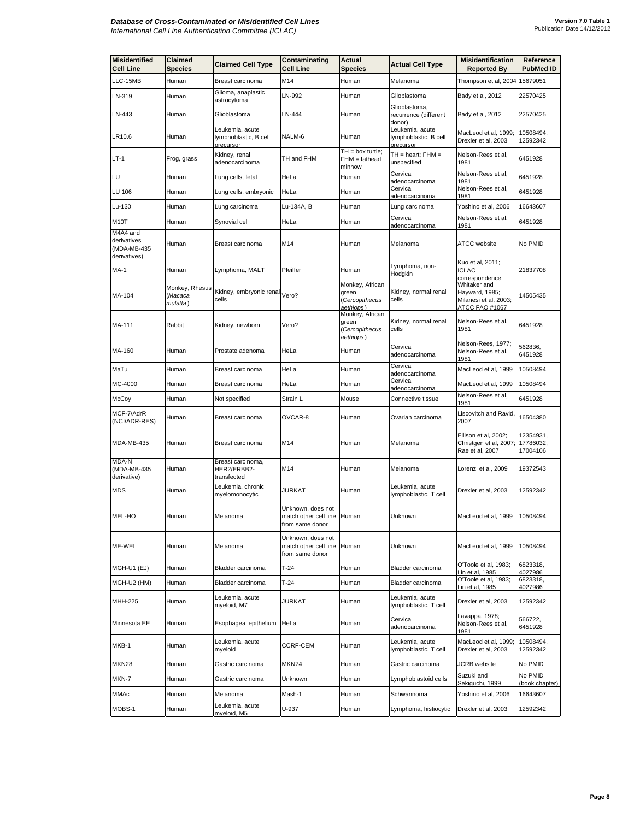| <b>Misidentified</b><br><b>Cell Line</b>               | Claimed<br>Species                    | <b>Claimed Cell Type</b>                              | Contaminating<br><b>Cell Line</b>                                   | Actual<br><b>Species</b>                                | <b>Actual Cell Type</b>                               | <b>Misidentification</b><br><b>Reported By</b>                            | Reference<br><b>PubMed ID</b>      |
|--------------------------------------------------------|---------------------------------------|-------------------------------------------------------|---------------------------------------------------------------------|---------------------------------------------------------|-------------------------------------------------------|---------------------------------------------------------------------------|------------------------------------|
| LLC-15MB                                               | Human                                 | Breast carcinoma                                      | M14                                                                 | Human                                                   | Melanoma                                              | Thompson et al, 2004                                                      | 15679051                           |
| LN-319                                                 | Human                                 | Glioma, anaplastic<br>astrocytoma                     | LN-992                                                              | Human                                                   | Glioblastoma                                          | Bady et al, 2012                                                          | 22570425                           |
| LN-443                                                 | Human                                 | Glioblastoma                                          | LN-444                                                              | Human                                                   | Glioblastoma,<br>recurrence (different<br>donor)      | Bady et al, 2012                                                          | 22570425                           |
| LR10.6                                                 | Human                                 | Leukemia, acute<br>lymphoblastic, B cell<br>precursor | NALM-6                                                              | Human                                                   | Leukemia, acute<br>lymphoblastic, B cell<br>precursor | MacLeod et al, 1999;<br>Drexler et al, 2003                               | 10508494,<br>12592342              |
| LT-1                                                   | Frog, grass                           | Kidney, renal<br>adenocarcinoma                       | TH and FHM                                                          | $TH = box$ turtle;<br>FHM = fathead<br><u>minnow</u>    | $TH = heart$ ; $FHM =$<br>unspecified                 | Nelson-Rees et al,<br>1981                                                | 6451928                            |
| LU                                                     | Human                                 | Lung cells, fetal                                     | HeLa                                                                | Human                                                   | Cervical<br>adenocarcinoma                            | Nelson-Rees et al,<br>1981                                                | 6451928                            |
| LU 106                                                 | Human                                 | Lung cells, embryonic                                 | HeLa                                                                | Human                                                   | Cervical<br>adenocarcinoma                            | Nelson-Rees et al,<br>1981                                                | 6451928                            |
| Lu-130                                                 | Human                                 | Lung carcinoma                                        | Lu-134A, B                                                          | Human                                                   | Lung carcinoma                                        | Yoshino et al, 2006                                                       | 16643607                           |
| M10T                                                   | Human                                 | Synovial cell                                         | HeLa                                                                | Human                                                   | Cervical<br>adenocarcinoma                            | Nelson-Rees et al,<br>1981                                                | 6451928                            |
| M4A4 and<br>derivatives<br>(MDA-MB-435<br>derivatives) | Human                                 | Breast carcinoma                                      | M14                                                                 | Human                                                   | Melanoma                                              | <b>ATCC</b> website                                                       | No PMID                            |
| MA-1                                                   | Human                                 | Lymphoma, MALT                                        | Pfeiffer                                                            | Human                                                   | Lymphoma, non-<br>Hodgkin                             | Kuo et al, 2011;<br><b>ICLAC</b><br>correspondence                        | 21837708                           |
| MA-104                                                 | Monkey, Rhesus<br>(Macaca<br>mulatta) | Kidney, embryonic renal<br>cells                      | Vero?                                                               | Monkey, African<br>green<br>Cercopithecus<br>aethiops)  | Kidney, normal renal<br>cells                         | Whitaker and<br>Hayward, 1985;<br>Milanesi et al, 2003;<br>ATCC FAQ #1067 | 14505435                           |
| MA-111                                                 | Rabbit                                | Kidney, newborn                                       | Vero?                                                               | Monkey, African<br>green<br>(Cercopithecus<br>aethiops) | Kidney, normal renal<br>cells                         | Nelson-Rees et al,<br>1981                                                | 6451928                            |
| MA-160                                                 | Human                                 | Prostate adenoma                                      | HeLa                                                                | Human                                                   | Cervical<br>adenocarcinoma                            | Nelson-Rees, 1977;<br>Nelson-Rees et al.<br>1981                          | 562836,<br>6451928                 |
| MaTu                                                   | Human                                 | Breast carcinoma                                      | HeLa                                                                | Human                                                   | Cervical<br>adenocarcinoma                            | MacLeod et al, 1999                                                       | 10508494                           |
| MC-4000                                                | Human                                 | Breast carcinoma                                      | HeLa                                                                | Human                                                   | Cervical<br>adenocarcinoma                            | MacLeod et al, 1999                                                       | 10508494                           |
| McCoy                                                  | Human                                 | Not specified                                         | Strain L                                                            | Mouse                                                   | Connective tissue                                     | Nelson-Rees et al,<br>1981                                                | 6451928                            |
| MCF-7/AdrR<br>(NCI/ADR-RES)                            | Human                                 | Breast carcinoma                                      | OVCAR-8                                                             | Human                                                   | Ovarian carcinoma                                     | Liscovitch and Ravid,<br>2007                                             | 16504380                           |
| MDA-MB-435                                             | Human                                 | Breast carcinoma                                      | M14                                                                 | Human                                                   | Melanoma                                              | Ellison et al, 2002;<br>Christgen et al, 2007;<br>Rae et al, 2007         | 12354931,<br>17786032,<br>17004106 |
| MDA-N<br>(MDA-MB-435<br>derivative)                    | Human                                 | Breast carcinoma,<br>HER2/ERBB2-<br>transfected       | M14                                                                 | Human                                                   | Melanoma                                              | Lorenzi et al, 2009                                                       | 19372543                           |
| <b>MDS</b>                                             | Human                                 | Leukemia, chronic<br>myelomonocytic                   | <b>JURKAT</b>                                                       | Human                                                   | Leukemia, acute<br>lymphoblastic, T cell              | Drexler et al, 2003                                                       | 12592342                           |
| MEL-HO                                                 | Human                                 | Melanoma                                              | Unknown, does not<br>match other cell line Human<br>from same donor |                                                         | Jnknown                                               | MacLeod et al, 1999                                                       | 10508494                           |
| ME-WEI                                                 | Human                                 | Melanoma                                              | Unknown, does not<br>match other cell line<br>from same donor       | Human                                                   | Unknown                                               | MacLeod et al, 1999                                                       | 10508494                           |
| MGH-U1 (EJ)                                            | Human                                 | Bladder carcinoma                                     | T-24                                                                | Human                                                   | Bladder carcinoma                                     | O'Toole et al, 1983;<br>Lin et al, 1985                                   | 6823318,<br>4027986                |
| MGH-U2 (HM)                                            | Human                                 | Bladder carcinoma                                     | T-24                                                                | Human                                                   | Bladder carcinoma                                     | O'Toole et al, 1983;<br>Lin et al, 1985                                   | 6823318,<br>4027986                |
| MHH-225                                                | Human                                 | Leukemia, acute<br>myeloid, M7                        | JURKAT                                                              | Human                                                   | Leukemia, acute<br>lymphoblastic, T cell              | Drexler et al, 2003                                                       | 12592342                           |
| Minnesota EE                                           | Human                                 | Esophageal epithelium                                 | HeLa                                                                | Human                                                   | Cervical<br>adenocarcinoma                            | Lavappa, 1978;<br>Nelson-Rees et al,<br>1981                              | 566722,<br>6451928                 |
| MKB-1                                                  | Human                                 | Leukemia, acute<br>myeloid                            | CCRF-CEM                                                            | Human                                                   | Leukemia, acute<br>lymphoblastic, T cell              | MacLeod et al, 1999;<br>Drexler et al, 2003                               | 10508494,<br>12592342              |
| MKN28                                                  | Human                                 | Gastric carcinoma                                     | MKN74                                                               | Human                                                   | Gastric carcinoma                                     | JCRB website                                                              | No PMID                            |
| MKN-7                                                  | Human                                 | Gastric carcinoma                                     | Unknown                                                             | Human                                                   | Lymphoblastoid cells                                  | Suzuki and<br>Sekiguchi, 1999                                             | No PMID<br>(book chapter)          |
| MMAc                                                   | Human                                 | Melanoma                                              | Mash-1                                                              | Human                                                   | Schwannoma                                            | Yoshino et al, 2006                                                       | 16643607                           |
| MOBS-1                                                 | Human                                 | Leukemia, acute<br>myeloid, M5                        | U-937                                                               | Human                                                   | Lymphoma, histiocytic                                 | Drexler et al, 2003                                                       | 12592342                           |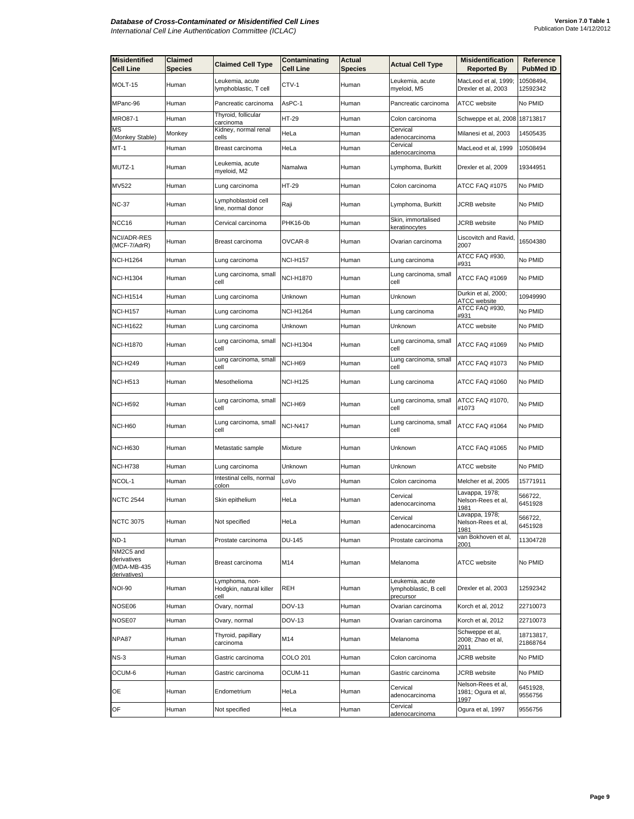| <b>Misidentified</b><br><b>Cell Line</b> | Claimed<br><b>Species</b> | <b>Claimed Cell Type</b>                          | Contaminating<br>Cell Line | Actual<br><b>Species</b> | <b>Actual Cell Type</b>                               | <b>Misidentification</b><br><b>Reported By</b>   | Reference<br><b>PubMed ID</b> |
|------------------------------------------|---------------------------|---------------------------------------------------|----------------------------|--------------------------|-------------------------------------------------------|--------------------------------------------------|-------------------------------|
| MOLT-15                                  | Human                     | Leukemia, acute<br>lymphoblastic, T cell          | CTV-1                      | Human                    | Leukemia, acute<br>myeloid, M5                        | MacLeod et al, 1999;<br>Drexler et al, 2003      | 10508494,<br>12592342         |
| MPanc-96                                 | Human                     | Pancreatic carcinoma                              | AsPC-1                     | Human                    | Pancreatic carcinoma                                  | ATCC website                                     | No PMID                       |
| <b>MRO87-1</b>                           | Human                     | Thyroid, follicular<br>carcinoma                  | HT-29                      | Human                    | Colon carcinoma                                       | Schweppe et al, 2008 18713817                    |                               |
| МS<br>(Monkey Stable)                    | Monkey                    | Kidney, normal renal<br>cells                     | HeLa                       | Human                    | Cervical<br>adenocarcinoma                            | Milanesi et al, 2003                             | 14505435                      |
| MT-1                                     | Human                     | Breast carcinoma                                  | HeLa                       | Human                    | Cervical<br>adenocarcinoma                            | MacLeod et al, 1999                              | 10508494                      |
| MUTZ-1                                   | Human                     | Leukemia, acute<br>myeloid, M2                    | Namalwa                    | Human                    | Lymphoma, Burkitt                                     | Drexler et al, 2009                              | 19344951                      |
| MV522                                    | Human                     | Lung carcinoma                                    | HT-29                      | Human                    | Colon carcinoma                                       | ATCC FAQ #1075                                   | No PMID                       |
| NC-37                                    | Human                     | Lymphoblastoid cell<br>line, normal donor         | Raji                       | Human                    | Lymphoma, Burkitt                                     | <b>JCRB</b> website                              | No PMID                       |
| NCC16                                    | Human                     | Cervical carcinoma                                | PHK16-0b                   | Human                    | Skin, immortalised<br>keratinocytes                   | <b>JCRB</b> website                              | No PMID                       |
| NCI/ADR-RES<br>(MCF-7/AdrR)              | Human                     | Breast carcinoma                                  | OVCAR-8                    | Human                    | Ovarian carcinoma                                     | Liscovitch and Ravid,<br>2007                    | 16504380                      |
| NCI-H1264                                | Human                     | Lung carcinoma                                    | <b>NCI-H157</b>            | Human                    | Lung carcinoma                                        | ATCC FAQ #930,<br>#931                           | No PMID                       |
| <b>NCI-H1304</b>                         | Human                     | Lung carcinoma, small<br>cell                     | NCI-H1870                  | Human                    | Lung carcinoma, small<br>cell                         | ATCC FAQ #1069                                   | No PMID                       |
| NCI-H1514                                | Human                     | Lung carcinoma                                    | Unknown                    | Human                    | Unknown                                               | Durkin et al, 2000;<br>ATCC website              | 10949990                      |
| <b>NCI-H157</b>                          | Human                     | Lung carcinoma                                    | NCI-H1264                  | Human                    | Lung carcinoma                                        | ATCC FAQ #930,<br>#931                           | No PMID                       |
| <b>NCI-H1622</b>                         | Human                     | Lung carcinoma                                    | Unknown                    | Human                    | Unknown                                               | <b>ATCC</b> website                              | No PMID                       |
| <b>NCI-H1870</b>                         | Human                     | Lung carcinoma, small<br>cell                     | <b>NCI-H1304</b>           | Human                    | Lung carcinoma, small<br>cell                         | ATCC FAQ #1069                                   | No PMID                       |
| <b>NCI-H249</b>                          | Human                     | Lung carcinoma, small<br>cell                     | NCI-H69                    | Human                    | Lung carcinoma, small<br>cell                         | ATCC FAQ #1073                                   | No PMID                       |
| <b>NCI-H513</b>                          | Human                     | Mesothelioma                                      | <b>NCI-H125</b>            | Human                    | Lung carcinoma                                        | ATCC FAQ #1060                                   | No PMID                       |
| <b>NCI-H592</b>                          | Human                     | Lung carcinoma, small<br>cell                     | NCI-H69                    | Human                    | Lung carcinoma, small<br>cell                         | ATCC FAQ #1070,<br>#1073                         | No PMID                       |
| NCI-H60                                  | Human                     | Lung carcinoma, small<br>cell                     | <b>NCI-N417</b>            | Human                    | Lung carcinoma, small<br>cell                         | ATCC FAQ #1064                                   | No PMID                       |
| <b>NCI-H630</b>                          | Human                     | Metastatic sample                                 | Mixture                    | Human                    | Unknown                                               | ATCC FAQ #1065                                   | No PMID                       |
| <b>NCI-H738</b>                          | Human                     | Lung carcinoma                                    | Unknown                    | Human                    | Unknown                                               | ATCC website                                     | No PMID                       |
| NCOL-1                                   | Human                     | Intestinal cells, normal<br>colon                 | LoVo                       | Human                    | Colon carcinoma                                       | Melcher et al, 2005                              | 15771911                      |
| <b>NCTC 2544</b>                         | Human                     | Skin epithelium                                   | HeLa                       | Human                    | Cervical<br>adenocarcinoma                            | avappa, 1978;<br>Nelson-Rees et al,<br>1981      | 566722,<br>6451928            |
| <b>NCTC 3075</b>                         | Human                     | Not specified                                     | HeLa                       | Human                    | Cervical<br>adenocarcinoma                            | Lavappa, 1978;<br>Nelson-Rees et al,<br>1981     | 566722,<br>6451928            |
| <b>ND-1</b>                              | Human                     | Prostate carcinoma                                | DU-145                     | Human                    | Prostate carcinoma                                    | van Bokhoven et al,<br>2001                      | 11304728                      |
| NM2C5 and<br>derivatives<br>(MDA-MB-435  | Human                     | Breast carcinoma                                  | M14                        | Human                    | Melanoma                                              | <b>ATCC</b> website                              | No PMID                       |
| derivatives)<br><b>NOI-90</b>            | Human                     | Lymphoma, non-<br>Hodgkin, natural killer<br>cell | REH                        | Human                    | Leukemia, acute<br>lymphoblastic, B cell<br>precursor | Drexler et al, 2003                              | 12592342                      |
| NOSE06                                   | Human                     | Ovary, normal                                     | DOV-13                     | Human                    | Ovarian carcinoma                                     | Korch et al, 2012                                | 22710073                      |
| NOSE07                                   | Human                     | Ovary, normal                                     | DOV-13                     | Human                    | Ovarian carcinoma                                     | Korch et al, 2012                                | 22710073                      |
| NPA87                                    | Human                     | Thyroid, papillary<br>carcinoma                   | M14                        | Human                    | Melanoma                                              | Schweppe et al,<br>2008; Zhao et al,<br>2011     | 18713817,<br>21868764         |
| $NS-3$                                   | Human                     | Gastric carcinoma                                 | <b>COLO 201</b>            | Human                    | Colon carcinoma                                       | JCRB website                                     | No PMID                       |
| OCUM-6                                   | Human                     | Gastric carcinoma                                 | OCUM-11                    | Human                    | Gastric carcinoma                                     | JCRB website                                     | No PMID                       |
| OE                                       | Human                     | Endometrium                                       | HeLa                       | Human                    | Cervical<br>adenocarcinoma                            | Nelson-Rees et al,<br>1981; Ogura et al,<br>1997 | 6451928,<br>9556756           |
| OF                                       | Human                     | Not specified                                     | HeLa                       | Human                    | Cervical<br>adenocarcinoma                            | Ogura et al, 1997                                | 9556756                       |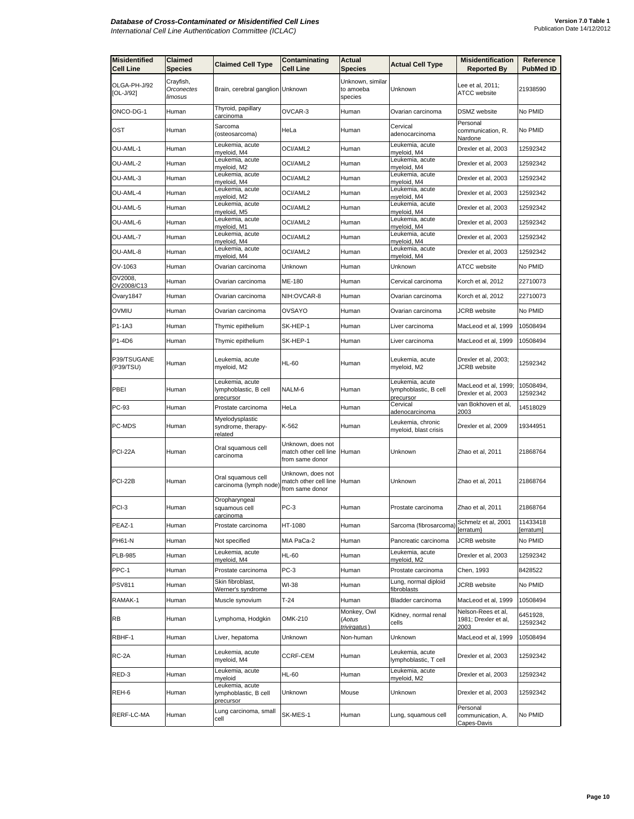| <b>Misidentified</b><br>Cell Line | Claimed<br><b>Species</b>          | <b>Claimed Cell Type</b>                              | Contaminating<br><b>Cell Line</b>                             | Actual<br><b>Species</b>                 | <b>Actual Cell Type</b>                               | <b>Misidentification</b><br><b>Reported By</b>     | Reference<br><b>PubMed ID</b> |
|-----------------------------------|------------------------------------|-------------------------------------------------------|---------------------------------------------------------------|------------------------------------------|-------------------------------------------------------|----------------------------------------------------|-------------------------------|
| OLGA-PH-J/92<br>$[OL-J/92]$       | Crayfish,<br>Orconectes<br>limosus | Brain, cerebral ganglion Unknown                      |                                                               | Unknown, similar<br>to amoeba<br>species | Unknown                                               | Lee et al, 2011;<br><b>ATCC</b> website            | 21938590                      |
| ONCO-DG-1                         | Human                              | Thyroid, papillary<br>carcinoma                       | OVCAR-3                                                       | Human                                    | Ovarian carcinoma                                     | DSMZ website                                       | No PMID                       |
| OST                               | Human                              | Sarcoma<br>(osteosarcoma)                             | HeLa                                                          | Human                                    | Cervical<br>adenocarcinoma                            | Personal<br>communication, R.<br>Nardone           | No PMID                       |
| OU-AML-1                          | Human                              | Leukemia, acute<br>myeloid, M4                        | OCI/AML2                                                      | Human                                    | Leukemia, acute<br>myeloid, M4                        | Drexler et al, 2003                                | 12592342                      |
| OU-AML-2                          | Human                              | Leukemia, acute<br>myeloid, M2                        | OCI/AML2                                                      | Human                                    | Leukemia, acute<br>myeloid, M4                        | Drexler et al, 2003                                | 12592342                      |
| OU-AML-3                          | Human                              | Leukemia, acute<br>myeloid, M4                        | OCI/AML2                                                      | Human                                    | Leukemia, acute<br>myeloid, M4                        | Drexler et al, 2003                                | 12592342                      |
| OU-AML-4                          | Human                              | Leukemia, acute<br>myeloid, M2                        | OCI/AML2                                                      | Human                                    | Leukemia, acute<br>myeloid, M4                        | Drexler et al, 2003                                | 12592342                      |
| OU-AML-5                          | Human                              | Leukemia, acute<br>myeloid, M5                        | OCI/AML2                                                      | Human                                    | Leukemia, acute<br>myeloid, M4                        | Drexler et al, 2003                                | 12592342                      |
| OU-AML-6                          | Human                              | Leukemia, acute<br>myeloid, M1                        | OCI/AML2                                                      | Human                                    | Leukemia, acute<br>myeloid, M4                        | Drexler et al, 2003                                | 12592342                      |
| OU-AML-7                          | Human                              | Leukemia, acute<br>myeloid, M4                        | OCI/AML2                                                      | Human                                    | Leukemia, acute<br>myeloid, M4                        | Drexler et al, 2003                                | 12592342                      |
| OU-AML-8                          | Human                              | Leukemia, acute<br>myeloid, M4                        | OCI/AML2                                                      | Human                                    | Leukemia, acute<br>myeloid, M4                        | Drexler et al, 2003                                | 12592342                      |
| OV-1063                           | Human                              | Ovarian carcinoma                                     | Unknown                                                       | Human                                    | Unknown                                               | <b>ATCC</b> website                                | No PMID                       |
| OV2008,<br>OV2008/C13             | Human                              | Ovarian carcinoma                                     | ME-180                                                        | Human                                    | Cervical carcinoma                                    | Korch et al, 2012                                  | 22710073                      |
| Ovary1847                         | Human                              | Ovarian carcinoma                                     | NIH:OVCAR-8                                                   | Human                                    | Ovarian carcinoma                                     | Korch et al, 2012                                  | 22710073                      |
| OVMIU                             | Human                              | Ovarian carcinoma                                     | OVSAYO                                                        | Human                                    | Ovarian carcinoma                                     | JCRB website                                       | No PMID                       |
| P1-1A3                            | Human                              | Thymic epithelium                                     | SK-HEP-1                                                      | Human                                    | Liver carcinoma                                       | MacLeod et al, 1999                                | 10508494                      |
| P1-4D6                            | Human                              | Thymic epithelium                                     | SK-HEP-1                                                      | Human                                    | Liver carcinoma                                       | MacLeod et al, 1999                                | 10508494                      |
| P39/TSUGANE<br>(P39/TSU)          | Human                              | Leukemia, acute<br>myeloid, M2                        | <b>HL-60</b>                                                  | Human                                    | Leukemia, acute<br>myeloid, M2                        | Drexler et al, 2003;<br><b>JCRB</b> website        | 12592342                      |
| PBEI                              | Human                              | Leukemia, acute<br>lymphoblastic, B cell<br>precursor | NALM-6                                                        | Human                                    | Leukemia, acute<br>lymphoblastic, B cell<br>precursor | MacLeod et al, 1999;<br>Drexler et al, 2003        | 10508494,<br>12592342         |
| PC-93                             | Human                              | Prostate carcinoma                                    | HeLa                                                          | Human                                    | Cervical<br>adenocarcinoma                            | van Bokhoven et al,<br>2003                        | 14518029                      |
| PC-MDS                            | Human                              | Myelodysplastic<br>syndrome, therapy-<br>related      | K-562                                                         | Human                                    | Leukemia, chronic<br>myeloid, blast crisis            | Drexler et al, 2009                                | 19344951                      |
| <b>PCI-22A</b>                    | Human                              | Oral squamous cell<br>carcinoma                       | Unknown, does not<br>match other cell line<br>from same donor | Human                                    | Unknown                                               | Zhao et al, 2011                                   | 21868764                      |
| <b>PCI-22B</b>                    | Human                              | Oral squamous cell<br>carcinoma (lymph node)          | Unknown, does not<br>match other cell line<br>from same donor | Human                                    | Unknown                                               | Zhao et al, 2011                                   | 21868764                      |
| PCI-3                             | Human                              | Oropharyngeal<br>squamous cell<br><u>carcinoma</u>    | $PC-3$                                                        | Human                                    | Prostate carcinoma                                    | Zhao et al, 2011                                   | 21868764                      |
| PEAZ-1                            | Human                              | Prostate carcinoma                                    | HT-1080                                                       | Human                                    | Sarcoma (fibrosarcoma)                                | Schmelz et al, 2001<br>[erratum}                   | 11433418<br>[erratum]         |
| PH61-N                            | Human                              | Not specified                                         | MIA PaCa-2                                                    | Human                                    | Pancreatic carcinoma                                  | JCRB website                                       | No PMID                       |
| <b>PLB-985</b>                    | Human                              | Leukemia, acute<br>myeloid, M4                        | <b>HL-60</b>                                                  | Human                                    | Leukemia, acute<br>myeloid, M2                        | Drexler et al, 2003                                | 12592342                      |
| PPC-1                             | Human                              | Prostate carcinoma                                    | $PC-3$                                                        | Human                                    | Prostate carcinoma                                    | Chen, 1993                                         | 8428522                       |
| <b>PSV811</b>                     | Human                              | Skin fibroblast,<br>Werner's syndrome                 | WI-38                                                         | Human                                    | ung, normal diploid<br>fibroblasts                    | <b>JCRB</b> website                                | No PMID                       |
| RAMAK-1                           | Human                              | Muscle synovium                                       | T-24                                                          | Human                                    | Bladder carcinoma                                     | MacLeod et al, 1999                                | 10508494                      |
| RB                                | Human                              | Lymphoma, Hodgkin                                     | OMK-210                                                       | Monkey, Owl<br>(Aotus<br>trivirgatus)    | Kidney, normal renal<br>cells                         | Nelson-Rees et al,<br>1981; Drexler et al,<br>2003 | 6451928,<br>12592342          |
| RBHF-1                            | Human                              | Liver, hepatoma                                       | Unknown                                                       | Non-human                                | Unknown                                               | MacLeod et al, 1999                                | 10508494                      |
| RC-2A                             | Human                              | Leukemia, acute<br>myeloid, M4                        | CCRF-CEM                                                      | Human                                    | Leukemia, acute<br>lymphoblastic, T cell              | Drexler et al, 2003                                | 12592342                      |
| RED-3                             | Human                              | Leukemia, acute<br>myeloid                            | <b>HL-60</b>                                                  | Human                                    | Leukemia, acute<br>myeloid, M2                        | Drexler et al, 2003                                | 12592342                      |
| REH-6                             | Human                              | Leukemia, acute<br>lymphoblastic, B cell<br>precursor | Unknown                                                       | Mouse                                    | Unknown                                               | Drexler et al, 2003                                | 12592342                      |
| RERF-LC-MA                        | Human                              | Lung carcinoma, small<br>cell                         | SK-MES-1                                                      | Human                                    | Lung, squamous cell                                   | Personal<br>communication, A.<br>Capes-Davis       | No PMID                       |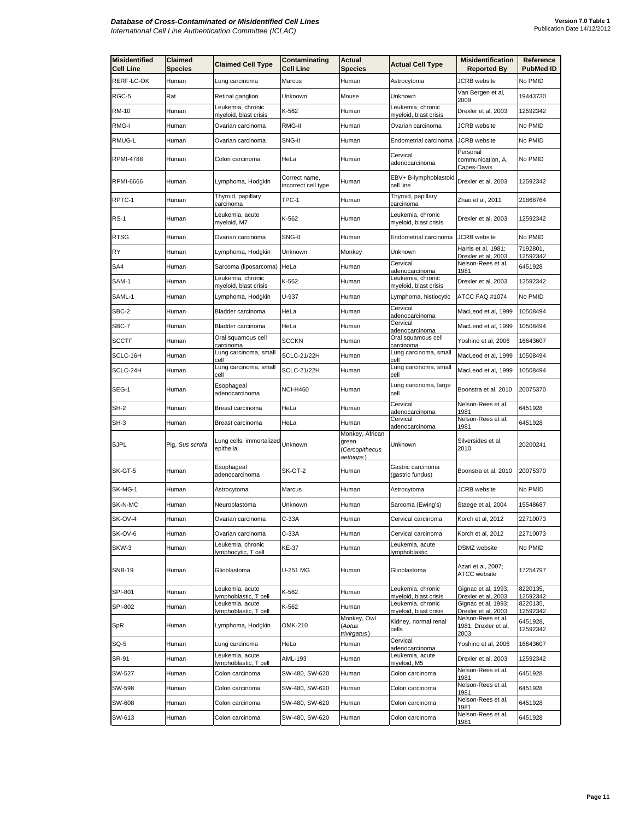| <b>Misidentified</b><br><b>Cell Line</b> | <b>Claimed</b><br>Species | <b>Claimed Cell Type</b>                   | Contaminating<br><b>Cell Line</b>    | Actual<br><b>Species</b>                                | <b>Actual Cell Type</b>                    | <b>Misidentification</b><br><b>Reported By</b>     | Reference<br><b>PubMed ID</b> |
|------------------------------------------|---------------------------|--------------------------------------------|--------------------------------------|---------------------------------------------------------|--------------------------------------------|----------------------------------------------------|-------------------------------|
| RERF-LC-OK                               | Human                     | Lung carcinoma                             | Marcus                               | Human                                                   | Astrocytoma                                | <b>JCRB</b> website                                | No PMID                       |
| RGC-5                                    | Rat                       | Retinal ganglion                           | Unknown                              | Mouse                                                   | Unknown                                    | Van Bergen et al,<br>2009                          | 19443730                      |
| RM-10                                    | Human                     | Leukemia, chronic                          | K-562                                | Human                                                   | Leukemia, chronic                          | Drexler et al, 2003                                | 12592342                      |
| RMG-I                                    | Human                     | myeloid, blast crisis<br>Ovarian carcinoma | RMG-II                               | Human                                                   | myeloid, blast crisis<br>Ovarian carcinoma | JCRB website                                       | No PMID                       |
| RMUG-L                                   | Human                     | Ovarian carcinoma                          | SNG-II                               | Human                                                   | Endometrial carcinoma                      | <b>JCRB</b> website                                | No PMID                       |
| RPMI-4788                                | Human                     | Colon carcinoma                            | HeLa                                 | Human                                                   | Cervical<br>adenocarcinoma                 | Personal<br>communication, A.                      | No PMID                       |
| <b>RPMI-6666</b>                         | Human                     | Lymphoma, Hodgkin                          | Correct name,<br>incorrect cell type | Human                                                   | EBV+ B-lymphoblastoid<br>cell line         | Capes-Davis<br>Drexler et al, 2003                 | 12592342                      |
| RPTC-1                                   | Human                     | Thyroid, papillary<br>carcinoma            | TPC-1                                | Human                                                   | Thyroid, papillary<br>carcinoma            | Zhao et al, 2011                                   | 21868764                      |
| <b>RS-1</b>                              | Human                     | Leukemia, acute<br>myeloid, M7             | K-562                                | Human                                                   | Leukemia, chronic<br>myeloid, blast crisis | Drexler et al, 2003                                | 12592342                      |
| <b>RTSG</b>                              | Human                     | Ovarian carcinoma                          | SNG-II                               | Human                                                   | Endometrial carcinoma                      | <b>JCRB</b> website                                | No PMID                       |
| RY                                       | Human                     | Lymphoma, Hodgkin                          | Unknown                              | Monkey                                                  | Unknown                                    | Harris et al, 1981;<br>Drexler et al, 2003         | 7192801,<br>12592342          |
| SA4                                      | Human                     | Sarcoma (liposarcoma)                      | HeLa                                 | Human                                                   | Cervical<br>adenocarcinoma                 | Nelson-Rees et al,<br>1981                         | 6451928                       |
| SAM-1                                    | Human                     | Leukemia, chronic<br>myeloid, blast crisis | K-562                                | Human                                                   | Leukemia, chronic<br>myeloid, blast crisis | Drexler et al, 2003                                | 12592342                      |
| SAML-1                                   | Human                     | Lymphoma, Hodgkin                          | U-937                                | Human                                                   | Lymphoma, histiocytic                      | ATCC FAQ #1074                                     | No PMID                       |
| SBC-2                                    | Human                     | Bladder carcinoma                          | HeLa                                 | Human                                                   | Cervical<br>adenocarcinoma                 | MacLeod et al, 1999                                | 10508494                      |
| SBC-7                                    | Human                     | Bladder carcinoma                          | HeLa                                 | Human                                                   | Cervical<br>adenocarcinoma                 | MacLeod et al, 1999                                | 10508494                      |
| <b>SCCTF</b>                             | Human                     | Oral squamous cell                         | SCCKN                                | Human                                                   | Oral squamous cell                         | Yoshino et al, 2006                                | 16643607                      |
| SCLC-16H                                 | Human                     | carcinoma<br>Lung carcinoma, small         | SCLC-21/22H                          | Human                                                   | carcinoma<br>Lung carcinoma, small         | MacLeod et al, 1999                                | 10508494                      |
| SCLC-24H                                 | Human                     | cell<br>Lung carcinoma, small<br>cell      | <b>SCLC-21/22H</b>                   | Human                                                   | cell<br>Lung carcinoma, small<br>cell      | MacLeod et al, 1999                                | 10508494                      |
| SEG-1                                    | Human                     | Esophageal<br>adenocarcinoma               | <b>NCI-H460</b>                      | Human                                                   | Lung carcinoma, large<br>cell              | Boonstra et al, 2010                               | 20075370                      |
| SH-2                                     | Human                     | Breast carcinoma                           | HeLa                                 | Human                                                   | Cervical<br>adenocarcinoma                 | Nelson-Rees et al,<br>1981                         | 6451928                       |
| SH-3                                     | Human                     | Breast carcinoma                           | HeLa                                 | Human                                                   | Cervical<br>adenocarcinoma                 | Nelson-Rees et al,<br>1981                         | 6451928                       |
| <b>SJPL</b>                              | Pig, Sus scrofa           | Lung cells, immortalized<br>epithelial     | Unknown                              | Monkey, African<br>green<br>(Cercopithecus<br>aethiops` | Unknown                                    | Silversides et al,<br>2010                         | 20200241                      |
| SK-GT-5                                  | Human                     | Esophageal<br>adenocarcinoma               | SK-GT-2                              | Human                                                   | Gastric carcinoma<br>(gastric fundus)      | Boonstra et al, 2010                               | 20075370                      |
| SK-MG-1                                  | Human                     | Astrocytoma                                | Marcus                               | Human                                                   | Astrocytoma                                | JCRB website                                       | No PMID                       |
| SK-N-MC                                  | Human                     | Neuroblastoma                              | Unknown                              | Human                                                   | Sarcoma (Ewing's)                          | Staege et al, 2004                                 | 15548687                      |
| SK-OV-4                                  | Human                     | Ovarian carcinoma                          | C-33A                                | muman                                                   | Cervical carcinoma                         | Korch et al, 2012                                  | 22710073                      |
| SK-OV-6                                  | Human                     | Ovarian carcinoma                          | C-33A                                | Human                                                   | Cervical carcinoma                         | Korch et al, 2012                                  | 22710073                      |
| SKW-3                                    | Human                     | Leukemia, chronic<br>lymphocytic, T cell   | KE-37                                | Human                                                   | Leukemia, acute<br>lymphoblastic           | DSMZ website                                       | No PMID                       |
| <b>SNB-19</b>                            | Human                     | Glioblastoma                               | U-251 MG                             | Human                                                   | Glioblastoma                               | Azari et al, 2007;<br>ATCC website                 | 17254797                      |
| SPI-801                                  | Human                     | Leukemia, acute<br>lymphoblastic, T cell   | K-562                                | Human                                                   | Leukemia, chronic<br>myeloid, blast crisis | Gignac et al, 1993;<br>Drexler et al, 2003         | 8220135,<br>12592342          |
| <b>SPI-802</b>                           | Human                     | Leukemia, acute<br>lymphoblastic, T cell   | K-562                                | Human                                                   | Leukemia, chronic<br>myeloid, blast crisis | Gignac et al, 1993;<br>Drexler et al, 2003         | 8220135,<br>12592342          |
| SpR                                      | Human                     | Lymphoma, Hodgkin                          | OMK-210                              | Monkey, Owl<br>(Aotus<br>trivirgatus)                   | Kidney, normal renal<br>cells              | Nelson-Rees et al,<br>1981; Drexler et al,<br>2003 | 6451928,<br>12592342          |
| SQ-5                                     | Human                     | Lung carcinoma                             | HeLa                                 | Human                                                   | Cervical<br>adenocarcinoma                 | Yoshino et al, 2006                                | 16643607                      |
| SR-91                                    | Human                     | Leukemia, acute<br>lymphoblastic, T cell   | AML-193                              | Human                                                   | Leukemia, acute<br>myeloid, M5             | Drexler et al, 2003                                | 12592342                      |
| SW-527                                   | Human                     | Colon carcinoma                            | SW-480, SW-620                       | Human                                                   | Colon carcinoma                            | Nelson-Rees et al,<br>1981                         | 6451928                       |
| SW-598                                   | Human                     | Colon carcinoma                            | SW-480, SW-620                       | Human                                                   | Colon carcinoma                            | Nelson-Rees et al,<br>1981                         | 6451928                       |
| SW-608                                   | Human                     | Colon carcinoma                            | SW-480, SW-620                       | Human                                                   | Colon carcinoma                            | Nelson-Rees et al,<br>1981                         | 6451928                       |
| SW-613                                   | Human                     | Colon carcinoma                            | SW-480, SW-620                       | Human                                                   | Colon carcinoma                            | Nelson-Rees et al,<br>1981                         | 6451928                       |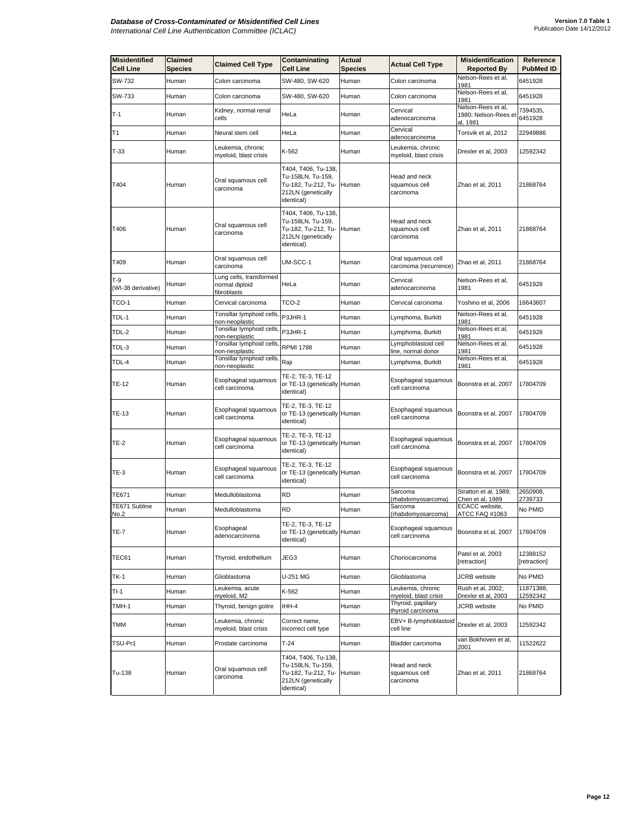| <b>Misidentified</b><br>Cell Line | <b>Claimed</b><br>Species | <b>Claimed Cell Type</b>                                        | Contaminating<br><b>Cell Line</b>                                                                   | Actual<br><b>Species</b> | <b>Actual Cell Type</b>                      | <b>Misidentification</b><br><b>Reported By</b>         | Reference<br><b>PubMed ID</b> |
|-----------------------------------|---------------------------|-----------------------------------------------------------------|-----------------------------------------------------------------------------------------------------|--------------------------|----------------------------------------------|--------------------------------------------------------|-------------------------------|
| SW-732                            | Human                     | Colon carcinoma                                                 | SW-480, SW-620                                                                                      | Human                    | Colon carcinoma                              | Nelson-Rees et al,<br>1981                             | 6451928                       |
| SW-733                            | Human                     | Colon carcinoma                                                 | SW-480, SW-620                                                                                      | Human                    | Colon carcinoma                              | Nelson-Rees et al,<br>1981                             | 6451928                       |
| $T-1$                             | Human                     | Kidney, normal renal<br>cells                                   | HeLa                                                                                                | Human                    | Cervical<br>adenocarcinoma                   | Nelson-Rees et al,<br>1980; Nelson-Rees et<br>al, 1981 | 7394535,<br>6451928           |
| T1                                | Human                     | Neural stem cell                                                | HeLa                                                                                                | Human                    | Cervical<br>adenocarcinoma                   | Torsvik et al, 2012                                    | 22949886                      |
| $T-33$                            | Human                     | Leukemia, chronic<br>myeloid, blast crisis                      | K-562                                                                                               | Human                    | Leukemia, chronic<br>myeloid, blast crisis   | Drexler et al, 2003                                    | 12592342                      |
| T404                              | Human                     | Oral squamous cell<br>carcinoma                                 | T404, T406, Tu-138,<br>Tu-158LN, Tu-159,<br>Tu-182, Tu-212, Tu-<br>212LN (genetically<br>identical) | Human                    | Head and neck<br>squamous cell<br>carcinoma  | Zhao et al, 2011                                       | 21868764                      |
| T406                              | Human                     | Oral squamous cell<br>carcinoma                                 | T404, T406, Tu-138,<br>Tu-158LN, Tu-159,<br>Tu-182, Tu-212, Tu-<br>212LN (genetically<br>identical) | Human                    | Head and neck<br>squamous cell<br>carcinoma  | Zhao et al, 2011                                       | 21868764                      |
| T409                              | Human                     | Oral squamous cell<br>carcinoma                                 | UM-SCC-1                                                                                            | Human                    | Oral squamous cell<br>carcinoma (recurrence) | Zhao et al, 2011                                       | 21868764                      |
| T-9<br>(WI-38 derivative)         | Human                     | Lung cells, transformed<br>normal diploid<br><u>fibroblasts</u> | HeLa                                                                                                | Human                    | Cervical<br>adenocarcinoma                   | Nelson-Rees et al.<br>1981                             | 6451928                       |
| TCO-1                             | Human                     | Cervical carcinoma                                              | TCO-2                                                                                               | Human                    | Cervical carcinoma                           | Yoshino et al, 2006                                    | 16643607                      |
| TDL-1                             | Human                     | Tonsillar lymphoid cells,<br>non-neoplastic                     | P3JHR-1                                                                                             | Human                    | Lymphoma, Burkitt                            | Nelson-Rees et al,<br>1981                             | 6451928                       |
| TDL-2                             | Human                     | Tonsillar lymphoid cells,<br>non-neoplastic                     | P3JHR-1                                                                                             | Human                    | Lymphoma, Burkitt                            | Nelson-Rees et al,<br>1981                             | 6451928                       |
| TDL-3                             | Human                     | Tonsillar lymphoid cells,<br>non-neoplastic                     | <b>RPMI 1788</b>                                                                                    | Human                    | _ymphoblastoid cell<br>line, normal donor    | Nelson-Rees et al,<br>1981                             | 6451928                       |
| TDL-4                             | Human                     | Tonsillar lymphoid cells,<br>non-neoplastic                     | Raji                                                                                                | Human                    | Lymphoma, Burkitt                            | Nelson-Rees et al,<br>1981                             | 6451928                       |
| TE-12                             | Human                     | Esophageal squamous<br>cell carcinoma                           | TE-2, TE-3, TE-12<br>or TE-13 (genetically Human<br>identical)                                      |                          | Esophageal squamous<br>cell carcinoma        | Boonstra et al, 2007                                   | 17804709                      |
| TE-13                             | Human                     | Esophageal squamous<br>cell carcinoma                           | TE-2, TE-3, TE-12<br>or TE-13 (genetically Human<br>identical)                                      |                          | Esophageal squamous<br>cell carcinoma        | Boonstra et al, 2007                                   | 17804709                      |
| <b>TE-2</b>                       | Human                     | Esophageal squamous<br>cell carcinoma                           | TE-2, TE-3, TE-12<br>or TE-13 (genetically Human<br>identical)                                      |                          | Esophageal squamous<br>cell carcinoma        | Boonstra et al, 2007                                   | 17804709                      |
| TE-3                              | Human                     | Esophageal squamous<br>cell carcinoma                           | TE-2, TE-3, TE-12<br>or TE-13 (genetically Human<br>identical)                                      |                          | Esophageal squamous<br>cell carcinoma        | Boonstra et al, 2007                                   | 17804709                      |
| TE671                             | Human                     | Medulloblastoma                                                 | <b>RD</b>                                                                                           | Human                    | Sarcoma<br>rhabdomyosarcoma)                 | Stratton et al, 1989;<br>Chen et al, 1989              | 2650908,<br>2739733           |
| TE671 Subline<br>No.2             | Human                     | Medulloblastoma                                                 | <b>RD</b>                                                                                           | Human                    | Sarcoma<br>(rhabdomyosarcoma)                | ECACC website,<br>ATCC FAQ #1063                       | No PMID                       |
| <b>TE-7</b>                       | Human                     | Esophageal<br>adenocarcinoma                                    | TE-2, TE-3, TE-12<br>or TE-13 (genetically Human<br>identical)                                      |                          | Esophageal squamous<br>cell carcinoma        | Boonstra et al, 2007                                   | 17804709                      |
| TEC61                             | Human                     | Thyroid, endothelium                                            | JEG3                                                                                                | Human                    | Choriocarcinoma                              | Patel et al, 2003<br>[retraction]                      | 12388152<br>[retraction]      |
| TK-1                              | Human                     | Glioblastoma                                                    | U-251 MG                                                                                            | Human                    | Glioblastoma                                 | <b>JCRB</b> website                                    | No PMID                       |
| TI-1                              | Human                     | Leukemia, acute<br>myeloid, M2                                  | K-562                                                                                               | Human                    | Leukemia, chronic<br>myeloid, blast crisis   | Rush et al, 2002;<br>Drexler et al, 2003               | 11871388,<br>12592342         |
| TMH-1                             | Human                     | Thyroid, benign goitre                                          | IHH-4                                                                                               | Human                    | Thyroid, papillary<br>thyroid carcinoma      | <b>JCRB</b> website                                    | No PMID                       |
| тмм                               | Human                     | Leukemia, chronic<br>myeloid, blast crisis                      | Correct name,<br>incorrect cell type                                                                | Human                    | EBV+ B-lymphoblastoid<br>cell line           | Drexler et al, 2003                                    | 12592342                      |
| TSU-Pr1                           | Human                     | Prostate carcinoma                                              | $T-24$                                                                                              | Human                    | Bladder carcinoma                            | van Bokhoven et al,<br>2001                            | 11522622                      |
| Tu-138                            | Human                     | Oral squamous cell<br>carcinoma                                 | T404, T406, Tu-138,<br>Tu-158LN, Tu-159,<br>Tu-182, Tu-212, Tu-<br>212LN (genetically<br>identical) | Human                    | Head and neck<br>squamous cell<br>carcinoma  | Zhao et al, 2011                                       | 21868764                      |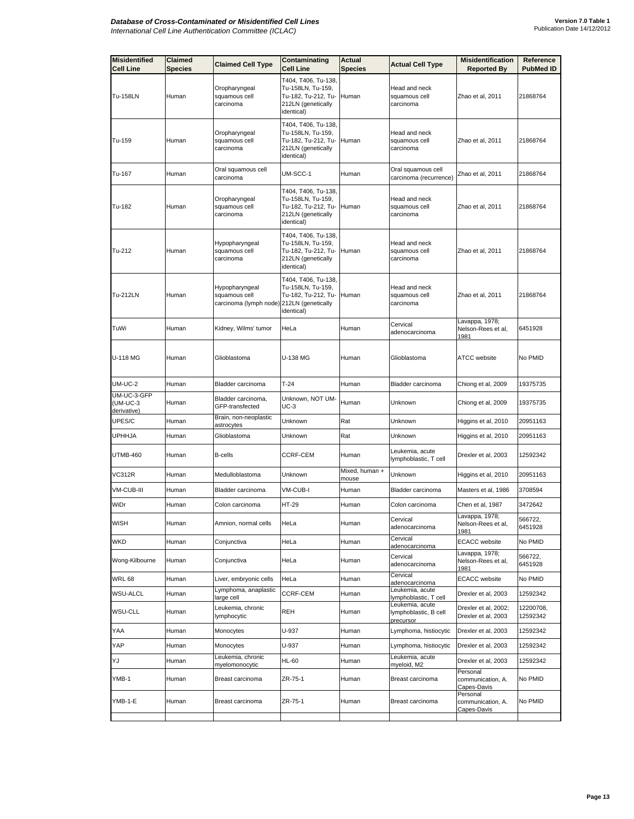| <b>Misidentified</b><br><b>Cell Line</b> | Claimed<br><b>Species</b> | <b>Claimed Cell Type</b>                                                     | Contaminating<br>Cell Line                                                                                | <b>Actual</b><br><b>Species</b> | <b>Actual Cell Type</b>                               | <b>Misidentification</b><br><b>Reported By</b> | Reference<br><b>PubMed ID</b> |
|------------------------------------------|---------------------------|------------------------------------------------------------------------------|-----------------------------------------------------------------------------------------------------------|---------------------------------|-------------------------------------------------------|------------------------------------------------|-------------------------------|
| Tu-158LN                                 | Human                     | Oropharyngeal<br>squamous cell<br>carcinoma                                  | T404, T406, Tu-138,<br>Tu-158LN, Tu-159,<br>Tu-182, Tu-212, Tu-<br>212LN (genetically<br>identical)       | Human                           | Head and neck<br>squamous cell<br>carcinoma           | Zhao et al, 2011                               | 21868764                      |
| Tu-159                                   | Human                     | Oropharyngeal<br>squamous cell<br>carcinoma                                  | T404, T406, Tu-138,<br>Tu-158LN, Tu-159,<br>Tu-182, Tu-212, Tu-<br>212LN (genetically<br>identical)       | Human                           | Head and neck<br>squamous cell<br>carcinoma           | Zhao et al, 2011                               | 21868764                      |
| Tu-167                                   | Human                     | Oral squamous cell<br>carcinoma                                              | UM-SCC-1                                                                                                  | Human                           | Oral squamous cell<br>carcinoma (recurrence)          | Zhao et al, 2011                               | 21868764                      |
| Tu-182                                   | Human                     | Oropharyngeal<br>squamous cell<br>carcinoma                                  | T404, T406, Tu-138,<br>Tu-158LN, Tu-159,<br>Tu-182, Tu-212, Tu- Human<br>212LN (genetically<br>identical) |                                 | Head and neck<br>squamous cell<br>carcinoma           | Zhao et al, 2011                               | 21868764                      |
| Tu-212                                   | Human                     | Hypopharyngeal<br>squamous cell<br>carcinoma                                 | T404, T406, Tu-138,<br>Tu-158LN, Tu-159,<br>Tu-182, Tu-212, Tu- Human<br>212LN (genetically<br>identical) |                                 | Head and neck<br>squamous cell<br>carcinoma           | Zhao et al, 2011                               | 21868764                      |
| Tu-212LN                                 | Human                     | Hypopharyngeal<br>squamous cell<br>carcinoma (lymph node) 212LN (genetically | T404, T406, Tu-138,<br>Tu-158LN, Tu-159,<br>Tu-182, Tu-212, Tu- Human<br>identical)                       |                                 | Head and neck<br>squamous cell<br>carcinoma           | Zhao et al, 2011                               | 21868764                      |
| TuWi                                     | Human                     | Kidney, Wilms' tumor                                                         | HeLa                                                                                                      | Human                           | Cervical<br>adenocarcinoma                            | Lavappa, 1978;<br>Nelson-Rees et al,<br>1981   | 6451928                       |
| U-118 MG                                 | Human                     | Glioblastoma                                                                 | U-138 MG                                                                                                  | Human                           | Glioblastoma                                          | <b>ATCC</b> website                            | No PMID                       |
| <b>UM-UC-2</b>                           | Human                     | Bladder carcinoma                                                            | $T-24$                                                                                                    | Human                           | Bladder carcinoma                                     | Chiong et al, 2009                             | 19375735                      |
| UM-UC-3-GFP<br>(UM-UC-3<br>derivative)   | Human                     | Bladder carcinoma,<br>GFP-transfected                                        | Unknown, NOT UM-<br>UC-3                                                                                  | Human                           | Unknown                                               | Chiong et al, 2009                             | 19375735                      |
| UPES/C                                   | Human                     | Brain, non-neoplastic<br>astrocytes                                          | Unknown                                                                                                   | Rat                             | Unknown                                               | Higgins et al, 2010                            | 20951163                      |
| <b>UPHHJA</b>                            | Human                     | Glioblastoma                                                                 | Unknown                                                                                                   | Rat                             | Unknown                                               | Higgins et al, 2010                            | 20951163                      |
| <b>UTMB-460</b>                          | Human                     | <b>B-cells</b>                                                               | CCRF-CEM                                                                                                  | Human                           | Leukemia, acute<br>lymphoblastic, T cell              | Drexler et al, 2003                            | 12592342                      |
| <b>VC312R</b>                            | Human                     | Medulloblastoma                                                              | Unknown                                                                                                   | Mixed, human +<br>mouse         | Unknown                                               | Higgins et al, 2010                            | 20951163                      |
| VM-CUB-III                               | Human                     | Bladder carcinoma                                                            | VM-CUB-I                                                                                                  | Human                           | Bladder carcinoma                                     | Masters et al, 1986                            | 3708594                       |
| WiDr                                     | Human                     | Colon carcinoma                                                              | HT-29                                                                                                     | Human                           | Colon carcinoma                                       | Chen et al, 1987                               | 3472642                       |
| <b>WISH</b>                              | Human                     | Amnion, normal cells                                                         | HeLa                                                                                                      | Human                           | Cervical<br>adenocarcinoma                            | avappa, 1978;<br>Nelson-Rees et al,<br>1981    | 566722,<br>6451928            |
| <b>WKD</b>                               | Human                     | Conjunctiva                                                                  | HeLa                                                                                                      | Human                           | Cervical<br>adenocarcinoma                            | <b>ECACC</b> website                           | No PMID                       |
| Wong-Kilbourne                           | Human                     | Conjunctiva                                                                  | HeLa                                                                                                      | Human                           | Cervical<br>adenocarcinoma                            | Lavappa, 1978;<br>Nelson-Rees et al,<br>1981   | 566722,<br>6451928            |
| <b>WRL 68</b>                            | Human                     | Liver, embryonic cells                                                       | HeLa                                                                                                      | Human                           | Cervical<br>adenocarcinoma                            | <b>ECACC</b> website                           | No PMID                       |
| <b>WSU-ALCL</b>                          | Human                     | Lymphoma, anaplastic<br>large cell                                           | CCRF-CEM                                                                                                  | Human                           | Leukemia, acute<br>lymphoblastic, T cell              | Drexler et al, 2003                            | 12592342                      |
| <b>WSU-CLL</b>                           | Human                     | Leukemia, chronic<br>lymphocytic                                             | REH                                                                                                       | Human                           | Leukemia, acute<br>lymphoblastic, B cell<br>precursor | Drexler et al, 2002;<br>Drexler et al, 2003    | 12200708,<br>12592342         |
| YAA                                      | Human                     | Monocytes                                                                    | U-937                                                                                                     | Human                           | Lymphoma, histiocytic                                 | Drexler et al, 2003                            | 12592342                      |
| YAP                                      | Human                     | Monocytes                                                                    | U-937                                                                                                     | Human                           | Lymphoma, histiocytic                                 | Drexler et al, 2003                            | 12592342                      |
| YJ                                       | Human                     | Leukemia, chronic<br>myelomonocytic                                          | HL-60                                                                                                     | Human                           | Leukemia, acute<br>myeloid, M2                        | Drexler et al, 2003                            | 12592342                      |
| YMB-1                                    | Human                     | Breast carcinoma                                                             | ZR-75-1                                                                                                   | Human                           | Breast carcinoma                                      | Personal<br>communication, A.<br>Capes-Davis   | No PMID                       |
| YMB-1-E                                  | Human                     | Breast carcinoma                                                             | ZR-75-1                                                                                                   | Human                           | Breast carcinoma                                      | Personal<br>communication, A.<br>Capes-Davis   | No PMID                       |
|                                          |                           |                                                                              |                                                                                                           |                                 |                                                       |                                                |                               |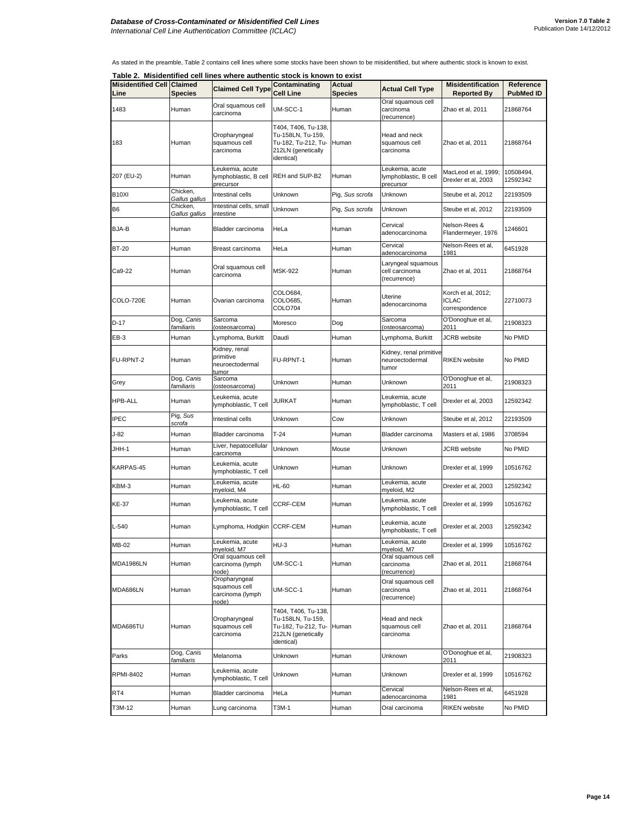As stated in the preamble, Table 2 contains cell lines where some stocks have been shown to be misidentified, but where authentic stock is known to exist.

**Table 2. Misidentified cell lines where authentic stock is known to exist**

|                                           |                                 | $i$ able $\lambda$ . Misidentified cell lines where authentic stock is known to exist |                                                                                                             |                                 |                                                       |                                                      |                               |
|-------------------------------------------|---------------------------------|---------------------------------------------------------------------------------------|-------------------------------------------------------------------------------------------------------------|---------------------------------|-------------------------------------------------------|------------------------------------------------------|-------------------------------|
| <b>Misidentified Cell Claimed</b><br>Line | <b>Species</b>                  | <b>Claimed Cell Type</b>                                                              | Contaminating<br><b>Cell Line</b>                                                                           | <b>Actual</b><br><b>Species</b> | <b>Actual Cell Type</b>                               | <b>Misidentification</b><br><b>Reported By</b>       | Reference<br><b>PubMed ID</b> |
| 1483                                      | Human                           | Oral squamous cell<br>carcinoma                                                       | UM-SCC-1                                                                                                    | Human                           | Oral squamous cell<br>carcinoma<br>(recurrence)       | Zhao et al, 2011                                     | 21868764                      |
| 183                                       | Human                           | Oropharyngeal<br>squamous cell<br>carcinoma                                           | T404, T406, Tu-138,<br>Tu-158LN, Tu-159,<br>Tu-182, Tu-212, Tu-<br>212LN (genetically<br><i>identical</i> ) | Human                           | Head and neck<br>squamous cell<br>carcinoma           | Zhao et al, 2011                                     | 21868764                      |
| 207 (EU-2)                                | Human                           | Leukemia, acute<br>lymphoblastic, B cell<br>precursor                                 | REH and SUP-B2                                                                                              | Human                           | Leukemia, acute<br>lymphoblastic, B cell<br>precursor | MacLeod et al, 1999;<br>Drexler et al, 2003          | 10508494,<br>12592342         |
| B10XI                                     | Chicken,<br>Gallus gallus       | Intestinal cells                                                                      | Unknown                                                                                                     | Pig, Sus scrofa                 | Unknown                                               | Steube et al, 2012                                   | 22193509                      |
| B6                                        | Chicken,<br>Gallus gallus       | Intestinal cells, small<br>intestine                                                  | Unknown                                                                                                     | Pig, Sus scrofa                 | Unknown                                               | Steube et al, 2012                                   | 22193509                      |
| BJA-B                                     | Human                           | Bladder carcinoma                                                                     | HeLa                                                                                                        | Human                           | Cervical<br>adenocarcinoma                            | Nelson-Rees &<br>Flandermeyer, 1976                  | 1246601                       |
| <b>BT-20</b>                              | Human                           | Breast carcinoma                                                                      | HeLa                                                                                                        | Human                           | Cervical<br>adenocarcinoma                            | Nelson-Rees et al,<br>1981                           | 6451928                       |
| Ca9-22                                    | Human                           | Oral squamous cell<br>carcinoma                                                       | <b>MSK-922</b>                                                                                              | Human                           | Laryngeal squamous<br>cell carcinoma<br>(recurrence)  | Zhao et al, 2011                                     | 21868764                      |
| COLO-720E                                 | Human                           | Ovarian carcinoma                                                                     | COLO684,<br>COLO685,<br><b>COLO704</b>                                                                      | Human                           | Uterine<br>adenocarcinoma                             | Korch et al, 2012;<br><b>ICLAC</b><br>correspondence | 22710073                      |
| D-17                                      | Dog, Canis<br>familiaris        | Sarcoma<br>(osteosarcoma)                                                             | Moresco                                                                                                     | Dog                             | Sarcoma<br>(osteosarcoma)                             | O'Donoghue et al,<br>2011                            | 21908323                      |
| EB-3                                      | Human                           | Lymphoma, Burkitt                                                                     | Daudi                                                                                                       | Human                           | Lymphoma, Burkitt                                     | <b>JCRB</b> website                                  | No PMID                       |
| FU-RPNT-2                                 | Human                           | Kidney, renal<br>primitive<br>neuroectodermal<br>tumor                                | FU-RPNT-1                                                                                                   | Human                           | Kidney, renal primitive<br>neuroectodermal<br>tumor   | <b>RIKEN</b> website                                 | No PMID                       |
| Grey                                      | Dog, <i>Canis</i><br>familiaris | Sarcoma<br>(osteosarcoma)                                                             | Unknown                                                                                                     | Human                           | Unknown                                               | O'Donoghue et al,<br>2011                            | 21908323                      |
| HPB-ALL                                   | Human                           | Leukemia, acute<br>lymphoblastic, T cell                                              | JURKAT                                                                                                      | Human                           | Leukemia, acute<br>lymphoblastic, T cell              | Drexler et al, 2003                                  | 12592342                      |
| IPEC                                      | Pig, Sus<br>scrofa              | Intestinal cells                                                                      | Unknown                                                                                                     | Cow                             | Unknown                                               | Steube et al, 2012                                   | 22193509                      |
| $J-82$                                    | Human                           | Bladder carcinoma                                                                     | $T-24$                                                                                                      | Human                           | Bladder carcinoma                                     | Masters et al, 1986                                  | 3708594                       |
| JHH-1                                     | Human                           | Liver, hepatocellular<br>carcinoma                                                    | Unknown                                                                                                     | Mouse                           | Unknown                                               | JCRB website                                         | No PMID                       |
| KARPAS-45                                 | Human                           | Leukemia, acute<br>lymphoblastic, T cell                                              | Unknown                                                                                                     | Human                           | Unknown                                               | Drexler et al, 1999                                  | 10516762                      |
| KBM-3                                     | Human                           | Leukemia, acute<br>myeloid, M4                                                        | <b>HL-60</b>                                                                                                | Human                           | Leukemia, acute<br>myeloid, M2                        | Drexler et al, 2003                                  | 12592342                      |
| KE-37                                     | Human                           | Leukemia, acute<br>lymphoblastic, T cell                                              | <b>CCRF-CEM</b>                                                                                             | Human                           | Leukemia, acute<br>lymphoblastic, T cell              | Drexler et al, 1999                                  | 10516762                      |
| L-540                                     | Human                           | Lymphoma, Hodgkin CCRF-CEM                                                            |                                                                                                             | Human                           | Leukemia, acute<br>lymphoblastic, T cell              | Drexler et al, 2003                                  | 12592342                      |
| MB-02                                     | Human                           | Leukemia, acute<br>myeloid, M7                                                        | $HU-3$                                                                                                      | Human                           | Leukemia, acute<br>myeloid, M7                        | Drexler et al, 1999                                  | 10516762                      |
| <b>MDA1986LN</b>                          | Human                           | Oral squamous cell<br>carcinoma (lymph<br>node)                                       | UM-SCC-1                                                                                                    | Human                           | Oral squamous cell<br>carcinoma<br>(recurrence)       | Zhao et al, 2011                                     | 21868764                      |
| MDA686LN                                  | Human                           | Oropharyngeal<br>squamous cell<br>carcinoma (lymph<br>node)                           | UM-SCC-1                                                                                                    | Human                           | Oral squamous cell<br>carcinoma<br>(recurrence)       | Zhao et al, 2011                                     | 21868764                      |
| MDA686TU                                  | Human                           | Oropharvngeal<br>squamous cell<br>carcinoma                                           | T404, T406, Tu-138,<br>Tu-158LN. Tu-159.<br>Tu-182, Tu-212, Tu-<br>212LN (genetically<br>identical)         | Human                           | Head and neck<br>squamous cell<br>carcinoma           | Zhao et al, 2011                                     | 21868764                      |
| Parks                                     | Dog, Canis<br>familiaris        | Melanoma                                                                              | Unknown                                                                                                     | Human                           | Unknown                                               | O'Donoghue et al,<br>2011                            | 21908323                      |
| <b>RPMI-8402</b>                          | Human                           | Leukemia, acute<br>lymphoblastic, T cell                                              | Unknown                                                                                                     | Human                           | Unknown                                               | Drexler et al, 1999                                  | 10516762                      |
| RT4                                       | Human                           | Bladder carcinoma                                                                     | HeLa                                                                                                        | Human                           | Cervical<br>adenocarcinoma                            | Nelson-Rees et al,<br>1981                           | 6451928                       |
| T3M-12                                    | Human                           | Lung carcinoma                                                                        | T3M-1                                                                                                       | Human                           | Oral carcinoma                                        | <b>RIKEN</b> website                                 | No PMID                       |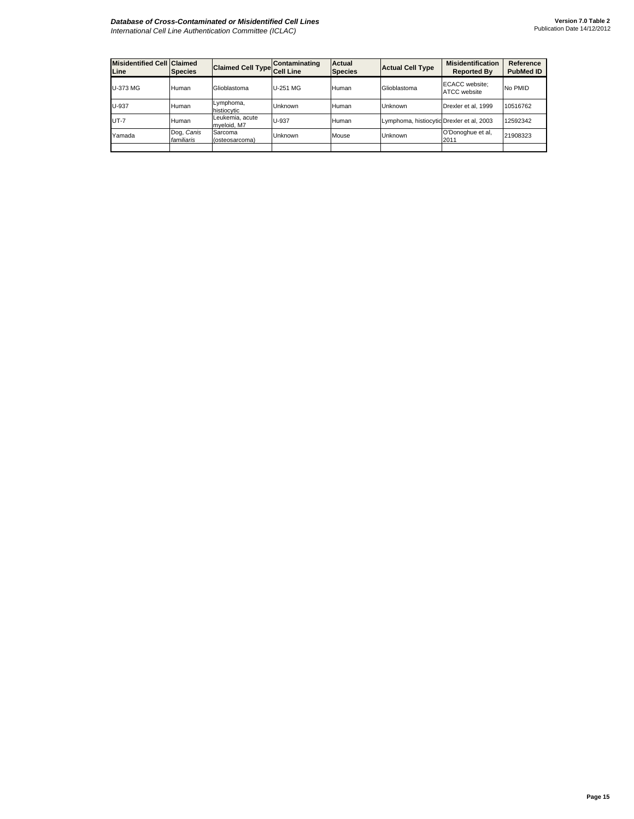## *Database of Cross-Contaminated or Misidentified Cell Lines International Cell Line Authentication Committee (ICLAC)*

| <b>Misidentified Cell Claimed</b><br>Line | <b>Species</b>           | Claimed Cell Type Cell Line    | Contaminating | Actual<br><b>Species</b> | <b>Actual Cell Type</b>                   | <b>Misidentification</b><br><b>Reported By</b> | Reference<br><b>PubMed ID</b> |
|-------------------------------------------|--------------------------|--------------------------------|---------------|--------------------------|-------------------------------------------|------------------------------------------------|-------------------------------|
| U-373 MG                                  | Human                    | Glioblastoma                   | U-251 MG      | Human                    | Glioblastoma                              | <b>ECACC</b> website:<br>ATCC website          | No PMID                       |
| U-937                                     | Human                    | Lymphoma,<br>histiocytic       | Unknown       | Human                    | Unknown                                   | Drexler et al. 1999                            | 10516762                      |
| $UT - 7$                                  | Human                    | Leukemia, acute<br>mveloid, M7 | U-937         | Human                    | Lymphoma, histiocytic Drexler et al, 2003 |                                                | 12592342                      |
| Yamada                                    | Dog, Canis<br>familiaris | Sarcoma<br>(osteosarcoma)      | Unknown       | Mouse                    | Unknown                                   | O'Donoghue et al,<br>2011                      | 21908323                      |
|                                           |                          |                                |               |                          |                                           |                                                |                               |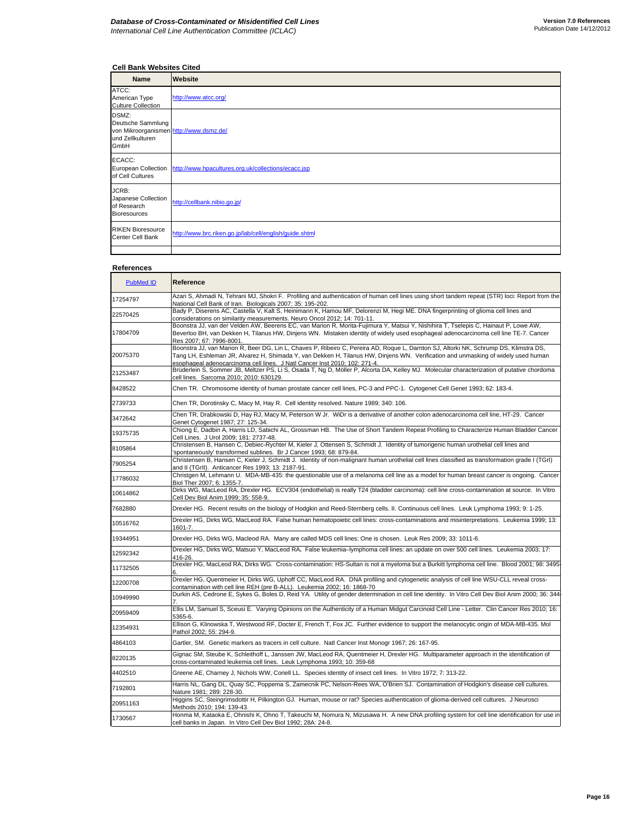## **Cell Bank Websites Cited**

| <b>Name</b>                                                                                       | Website                                                                 |
|---------------------------------------------------------------------------------------------------|-------------------------------------------------------------------------|
| ATCC:<br>American Type<br><b>Culture Collection</b>                                               | http://www.atcc.org/                                                    |
| DSMZ:<br>Deutsche Sammlung<br>von Mikroorganismen http://www.dsmz.de/<br>und Zellkulturen<br>GmbH |                                                                         |
| ECACC:<br>of Cell Cultures                                                                        | European Collection http://www.hpacultures.org.uk/collections/ecacc.jsp |
| JCRB:<br>Japanese Collection<br>of Research<br><b>Bioresources</b>                                | http://cellbank.nibio.go.jp/                                            |
| <b>RIKEN Bioresource</b><br>Center Cell Bank                                                      | http://www.brc.riken.go.jp/lab/cell/english/guide.shtml                 |
|                                                                                                   |                                                                         |

## **References**

| <b>PubMed ID</b> | Reference                                                                                                                                                                                                                                                                                                                                                |
|------------------|----------------------------------------------------------------------------------------------------------------------------------------------------------------------------------------------------------------------------------------------------------------------------------------------------------------------------------------------------------|
| 17254797         | Azari S, Ahmadi N, Tehrani MJ, Shokri F. Profiling and authentication of human cell lines using short tandem repeat (STR) loci: Report from the<br>National Cell Bank of Iran. Biologicals 2007; 35: 195-202.                                                                                                                                            |
| 22570425         | Bady P, Diserens AC, Castella V, Kalt S, Heinimann K, Hamou MF, Delorenzi M, Hegi ME. DNA fingerprinting of glioma cell lines and<br>considerations on similarity measurements. Neuro Oncol 2012; 14: 701-11.                                                                                                                                            |
| 17804709         | Boonstra JJ, van der Velden AW, Beerens EC, van Marion R, Morita-Fujimura Y, Matsui Y, Nishihira T, Tselepis C, Hainaut P, Lowe AW,<br>Beverloo BH, van Dekken H, Tilanus HW, Dinjens WN. Mistaken identity of widely used esophageal adenocarcinoma cell line TE-7. Cancer<br>Res 2007: 67: 7996-8001.                                                  |
| 20075370         | Boonstra JJ, van Marion R, Beer DG, Lin L, Chaves P, Ribeiro C, Pereira AD, Roque L, Darnton SJ, Altorki NK, Schrump DS, Klimstra DS,<br>Tang LH, Eshleman JR, Alvarez H, Shimada Y, van Dekken H, Tilanus HW, Dinjens WN. Verification and unmasking of widely used human<br>esophageal adenocarcinoma cell lines. J Natl Cancer Inst 2010; 102: 271-4. |
| 21253487         | Brüderlein S, Sommer JB, Meltzer PS, Li S, Osada T, Ng D, Möller P, Alcorta DA, Kelley MJ. Molecular characterization of putative chordoma<br>cell lines. Sarcoma 2010; 2010: 630129.                                                                                                                                                                    |
| 8428522          | Chen TR. Chromosome identity of human prostate cancer cell lines, PC-3 and PPC-1. Cytogenet Cell Genet 1993; 62: 183-4.                                                                                                                                                                                                                                  |
| 2739733          | Chen TR, Dorotinsky C, Macy M, Hay R. Cell identity resolved. Nature 1989; 340: 106.                                                                                                                                                                                                                                                                     |
| 3472642          | Chen TR, Drabkowski D, Hay RJ, Macy M, Peterson W Jr. WiDr is a derivative of another colon adenocarcinoma cell line, HT-29. Cancer<br>Genet Cytogenet 1987; 27: 125-34.                                                                                                                                                                                 |
| 19375735         | Chiong E, Dadbin A, Harris LD, Sabichi AL, Grossman HB. The Use of Short Tandem Repeat Profiling to Characterize Human Bladder Cancer<br>Cell Lines. J Urol 2009; 181: 2737-48.                                                                                                                                                                          |
| 8105864          | Christensen B, Hansen C, Debiec-Rychter M, Kieler J, Ottensen S, Schmidt J. Identity of tumorigenic human urothelial cell lines and<br>spontaneously' transformed sublines. Br J Cancer 1993; 68: 879-84.                                                                                                                                                |
| 7905254          | Christensen B, Hansen C, Kieler J, Schmidt J. Identity of non-malignant human urothelial cell lines classified as transformation grade I (TGrI)<br>and II (TGrII). Anticancer Res 1993; 13: 2187-91.                                                                                                                                                     |
| 17786032         | Christgen M, Lehmann U. MDA-MB-435: the questionable use of a melanoma cell line as a model for human breast cancer is ongoing. Cancer<br>Biol Ther 2007: 6: 1355-7.                                                                                                                                                                                     |
| 10614862         | Dirks WG, MacLeod RA, Drexler HG. ECV304 (endothelial) is really T24 (bladder carcinoma): cell line cross-contamination at source. In Vitro<br>Cell Dev Biol Anim 1999; 35: 558-9.                                                                                                                                                                       |
| 7682880          | Drexler HG. Recent results on the biology of Hodgkin and Reed-Sternberg cells. II. Continuous cell lines. Leuk Lymphoma 1993; 9: 1-25.                                                                                                                                                                                                                   |
| 10516762         | Drexler HG, Dirks WG, MacLeod RA. False human hematopoietic cell lines: cross-contaminations and misinterpretations. Leukemia 1999; 13:<br>1601-7.                                                                                                                                                                                                       |
| 19344951         | Drexler HG, Dirks WG, Macleod RA. Many are called MDS cell lines: One is chosen. Leuk Res 2009; 33: 1011-6.                                                                                                                                                                                                                                              |
| 12592342         | Drexler HG, Dirks WG, Matsuo Y, MacLeod RA. False leukemia-lymphoma cell lines: an update on over 500 cell lines. Leukemia 2003; 17:<br>416-26.                                                                                                                                                                                                          |
| 11732505         | Drexler HG, MacLeod RA, Dirks WG. Cross-contamination: HS-Sultan is not a myeloma but a Burkitt lymphoma cell line. Blood 2001; 98: 3495                                                                                                                                                                                                                 |
| 12200708         | Drexler HG, Quentmeier H, Dirks WG, Uphoff CC, MacLeod RA. DNA profiling and cytogenetic analysis of cell line WSU-CLL reveal cross-<br>contamination with cell line REH (pre B-ALL). Leukemia 2002; 16: 1868-70                                                                                                                                         |
| 10949990         | Durkin AS, Cedrone E, Sykes G, Boles D, Reid YA. Utility of gender determination in cell line identity. In Vitro Cell Dev Biol Anim 2000; 36: 344<br>7.                                                                                                                                                                                                  |
| 20959409         | Ellis LM, Samuel S, Sceusi E. Varying Opinions on the Authenticity of a Human Midgut Carcinoid Cell Line - Letter. Clin Cancer Res 2010; 16:<br>5365-6.                                                                                                                                                                                                  |
| 12354931         | Ellison G, Klinowska T, Westwood RF, Docter E, French T, Fox JC. Further evidence to support the melanocytic origin of MDA-MB-435. Mol<br>Pathol 2002; 55: 294-9.                                                                                                                                                                                        |
| 4864103          | Gartler, SM. Genetic markers as tracers in cell culture. Natl Cancer Inst Monogr 1967; 26: 167-95.                                                                                                                                                                                                                                                       |
| 8220135          | Gignac SM, Steube K, Schleithoff L, Janssen JW, MacLeod RA, Quentmeier H, Drexler HG. Multiparameter approach in the identification of<br>cross-contaminated leukemia cell lines. Leuk Lymphoma 1993; 10: 359-68                                                                                                                                         |
| 4402510          | Greene AE, Charney J, Nichols WW, Coriell LL. Species identity of insect cell lines. In Vitro 1972; 7: 313-22.                                                                                                                                                                                                                                           |
| 7192801          | Harris NL, Gang DL, Quay SC, Poppema S, Zamecnik PC, Nelson-Rees WA, O'Brien SJ. Contamination of Hodgkin's disease cell cultures.<br>Nature 1981; 289: 228-30.                                                                                                                                                                                          |
| 20951163         | Higgins SC, Steingrimsdottir H, Pilkington GJ. Human, mouse or rat? Species authentication of glioma-derived cell cultures. J Neurosci<br>Methods 2010: 194: 139-43.                                                                                                                                                                                     |
| 1730567          | Honma M, Kataoka E, Ohnishi K, Ohno T, Takeuchi M, Nomura N, Mizusawa H. A new DNA profiling system for cell line identification for use in<br>cell banks in Japan. In Vitro Cell Dev Biol 1992; 28A: 24-8.                                                                                                                                              |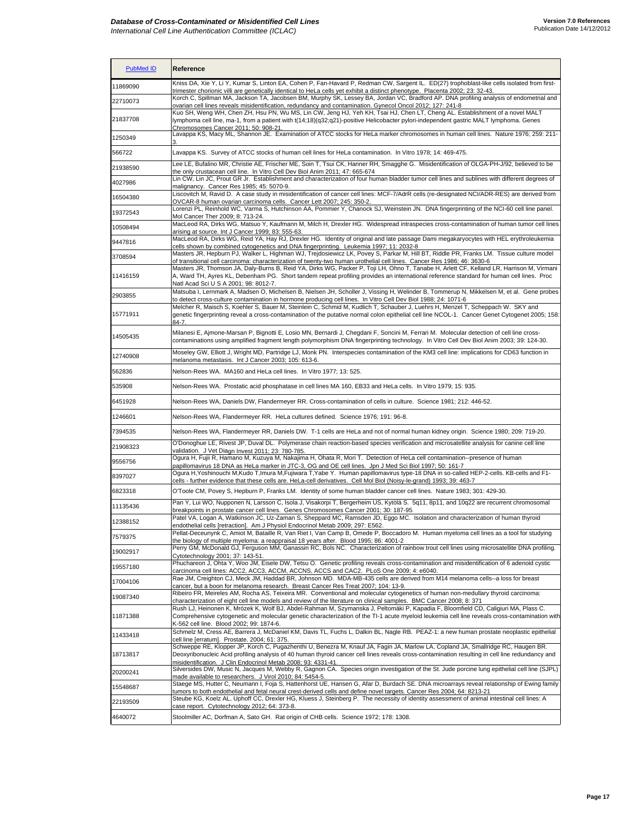| <b>PubMed ID</b> | Reference                                                                                                                                                                                                                                                                                                                                                   |
|------------------|-------------------------------------------------------------------------------------------------------------------------------------------------------------------------------------------------------------------------------------------------------------------------------------------------------------------------------------------------------------|
| 11869090         | Kniss DA, Xie Y, Li Y, Kumar S, Linton EA, Cohen P, Fan-Havard P, Redman CW, Sargent IL. ED(27) trophoblast-like cells isolated from first-<br>trimester chorionic villi are genetically identical to HeLa cells vet exhibit a distinct phenotype. Placenta 2002: 23: 32-43.                                                                                |
| 22710073         | Korch C, Spillman MA, Jackson TA, Jacobsen BM, Murphy SK, Lessey BA, Jordan VC, Bradford AP. DNA profiling analysis of endometrial and<br>ovarian cell lines reveals misidentification, redundancy and contamination. Gynecol Oncol 2012; 127: 241-8                                                                                                        |
| 21837708         | Kuo SH, Weng WH, Chen ZH, Hsu PN, Wu MS, Lin CW, Jeng HJ, Yeh KH, Tsai HJ, Chen LT, Cheng AL. Establishment of a novel MALT<br>lymphoma cell line, ma-1, from a patient with t(14;18)(q32;q21)-positive Helicobacter pylori-independent gastric MALT lymphoma. Genes<br>Chromosomes Cancer 2011: 50: 908-21.                                                |
| 1250349          | Lavappa KS, Macy ML, Shannon JE. Examination of ATCC stocks for HeLa marker chromosomes in human cell lines. Nature 1976; 259: 211-                                                                                                                                                                                                                         |
| 566722           | Lavappa KS. Survey of ATCC stocks of human cell lines for HeLa contamination. In Vitro 1978; 14: 469-475.                                                                                                                                                                                                                                                   |
| 21938590         | Lee LE, Bufalino MR, Christie AE, Frischer ME, Soin T, Tsui CK, Hanner RH, Smagghe G. Misidentification of OLGA-PH-J/92, believed to be<br>the only crustacean cell line. In Vitro Cell Dev Biol Anim 2011; 47: 665-674                                                                                                                                     |
| 4027986          | Lin CW, Lin JC, Prout GR Jr. Establishment and characterization of four human bladder tumor cell lines and sublines with different degrees of<br>malignancy. Cancer Res 1985; 45: 5070-9.                                                                                                                                                                   |
| 16504380         | Liscovitch M, Ravid D. A case study in misidentification of cancer cell lines: MCF-7/AdrR cells (re-designated NCI/ADR-RES) are derived from<br>OVCAR-8 human ovarian carcinoma cells. Cancer Lett 2007; 245: 350-2.                                                                                                                                        |
| 19372543         | Lorenzi PL, Reinhold WC, Varma S, Hutchinson AA, Pommier Y, Chanock SJ, Weinstein JN. DNA fingerprinting of the NCI-60 cell line panel.<br>Mol Cancer Ther 2009; 8: 713-24.                                                                                                                                                                                 |
| 10508494         | MacLeod RA, Dirks WG, Matsuo Y, Kaufmann M, Milch H, Drexler HG. Widespread intraspecies cross-contamination of human tumor cell lines<br>arising at source. Int J Cancer 1999; 83: 555-63.                                                                                                                                                                 |
| 9447816          | MacLeod RA, Dirks WG, Reid YA, Hay RJ, Drexler HG. Identity of original and late passage Dami megakaryocytes with HEL erythroleukemia                                                                                                                                                                                                                       |
| 3708594          | cells shown by combined cytogenetics and DNA fingerprinting. Leukemia 1997; 11: 2032-8<br>Masters JR, Hepburn PJ, Walker L, Highman WJ, Trejdosiewicz LK, Povey S, Parkar M, Hill BT, Riddle PR, Franks LM. Tissue culture model<br>of transitional cell carcinoma: characterization of twenty-two human urothelial cell lines. Cancer Res 1986; 46: 3630-6 |
| 11416159         | Masters JR, Thomson JA, Daly-Burns B, Reid YA, Dirks WG, Packer P, Toji LH, Ohno T, Tanabe H, Arlett CF, Kelland LR, Harrison M, Virmani<br>A, Ward TH, Ayres KL, Debenham PG. Short tandem repeat profiling provides an international reference standard for human cell lines. Proc<br>Natl Acad Sci U S A 2001; 98: 8012-7.                               |
| 2903855          | Matsuba I, Lernmark A, Madsen O, Michelsen B, Nielsen JH, Scholler J, Vissing H, Welinder B, Tommerup N, Mikkelsen M, et al. Gene probes<br>to detect cross-culture contamination in hormone producing cell lines. In Vitro Cell Dev Biol 1988; 24: 1071-6                                                                                                  |
| 15771911         | Melcher R, Maisch S, Koehler S, Bauer M, Steinlein C, Schmid M, Kudlich T, Schauber J, Luehrs H, Menzel T, Scheppach W. SKY and<br>genetic fingerprinting reveal a cross-contamination of the putative normal colon epithelial cell line NCOL-1. Cancer Genet Cytogenet 2005; 158:<br>84-7                                                                  |
| 14505435         | Milanesi E, Ajmone-Marsan P, Bignotti E, Losio MN, Bernardi J, Chegdani F, Soncini M, Ferrari M. Molecular detection of cell line cross-<br>contaminations using amplified fragment length polymorphism DNA fingerprinting technology. In Vitro Cell Dev Biol Anim 2003; 39: 124-30.                                                                        |
| 12740908         | Moseley GW, Elliott J, Wright MD, Partridge LJ, Monk PN. Interspecies contamination of the KM3 cell line: implications for CD63 function in<br>melanoma metastasis. Int J Cancer 2003; 105: 613-6.                                                                                                                                                          |
| 562836           | Nelson-Rees WA. MA160 and HeLa cell lines. In Vitro 1977; 13: 525.                                                                                                                                                                                                                                                                                          |
| 535908           | Nelson-Rees WA. Prostatic acid phosphatase in cell lines MA 160, EB33 and HeLa cells. In Vitro 1979; 15: 935.                                                                                                                                                                                                                                               |
| 6451928          | Nelson-Rees WA, Daniels DW, Flandermeyer RR. Cross-contamination of cells in culture. Science 1981; 212: 446-52.                                                                                                                                                                                                                                            |
| 1246601          | Nelson-Rees WA, Flandermeyer RR. HeLa cultures defined. Science 1976; 191: 96-8.                                                                                                                                                                                                                                                                            |
| 7394535          | Nelson-Rees WA, Flandermeyer RR, Daniels DW. T-1 cells are HeLa and not of normal human kidney origin. Science 1980; 209: 719-20.                                                                                                                                                                                                                           |
| 21908323         | O'Donoghue LE, Rivest JP, Duval DL. Polymerase chain reaction-based species verification and microsatellite analysis for canine cell line<br>validation. J Vet Diagn Invest 2011: 23: 780-785.                                                                                                                                                              |
| 9556756          | Ogura H, Fujii R, Hamano M, Kuzuya M, Nakajima H, Ohata R, Mori T. Detection of HeLa cell contamination--presence of human<br>papillomavirus 18 DNA as HeLa marker in JTC-3, OG and OE cell lines. Jpn J Med Sci Biol 1997; 50: 161-7                                                                                                                       |
| 8397027          | Ogura H,Yoshinouchi M,Kudo T,Imura M,Fujiwara T,Yabe Y. Human papillomavirus type-18 DNA in so-called HEP-2-cells. KB-cells and F1-<br>cells - further evidence that these cells are. HeLa-cell derivatives. Cell Mol Biol (Noisy-le-grand) 1993; 39: 463-7                                                                                                 |
| 6823318          | O'Toole CM, Povey S, Hepburn P, Franks LM. Identity of some human bladder cancer cell lines. Nature 1983; 301: 429-30.                                                                                                                                                                                                                                      |
| 11135436         | Pan Y, Lui WO, Nupponen N, Larsson C, Isola J, Visakorpi T, Bergerheim US, Kytölä S. 5q11, 8p11, and 10q22 are recurrent chromosomal<br>breakpoints in prostate cancer cell lines. Genes Chromosomes Cancer 2001; 30: 187-95.                                                                                                                               |
| 12388152         | Patel VA, Logan A, Watkinson JC, Uz-Zaman S, Sheppard MC, Ramsden JD, Eggo MC. Isolation and characterization of human thyroid<br>endothelial cells [retraction]. Am J Physiol Endocrinol Metab 2009; 297: E562.                                                                                                                                            |
| 7579375          | Pellat-Deceunynk C, Amiot M, Bataille R, Van Riet I, Van Camp B, Omede P, Boccadoro M. Human myeloma cell lines as a tool for studying<br>the biology of multiple myeloma: a reappraisal 18 years after. Blood 1995; 86: 4001-2                                                                                                                             |
| 19002917         | Perry GM, McDonald GJ, Ferguson MM, Ganassin RC, Bols NC. Characterization of rainbow trout cell lines using microsatellite DNA profiling.<br>Cytotechnology 2001; 37: 143-51.                                                                                                                                                                              |
| 19557180         | Phuchareon J, Ohta Y, Woo JM, Eisele DW, Tetsu O. Genetic profiling reveals cross-contamination and misidentification of 6 adenoid cystic<br>carcinoma cell lines: ACC2, ACC3, ACCM, ACCNS, ACCS and CAC2. PLoS One 2009; 4: e6040.                                                                                                                         |
| 17004106         | Rae JM, Creighton CJ, Meck JM, Haddad BR, Johnson MD. MDA-MB-435 cells are derived from M14 melanoma cells--a loss for breast<br>cancer, but a boon for melanoma research. Breast Cancer Res Treat 2007; 104: 13-9.                                                                                                                                         |
| 19087340         | Ribeiro FR, Meireles AM, Rocha AS, Teixeira MR. Conventional and molecular cytogenetics of human non-medullary thyroid carcinoma:<br>characterization of eight cell line models and review of the literature on clinical samples. BMC Cancer 2008; 8: 371                                                                                                   |
| 11871388         | Rush LJ, Heinonen K, Mrózek K, Wolf BJ, Abdel-Rahman M, Szymanska J, Peltomäki P, Kapadia F, Bloomfield CD, Caligiuri MA, Plass C.<br>Comprehensive cytogenetic and molecular genetic characterization of the TI-1 acute myeloid leukemia cell line reveals cross-contamination with<br>K-562 cell line. Blood 2002; 99: 1874-6.                            |
| 11433418         | Schmelz M, Cress AE, Barrera J, McDaniel KM, Davis TL, Fuchs L, Dalkin BL, Nagle RB. PEAZ-1: a new human prostate neoplastic epithelial<br>cell line [erratum]. Prostate. 2004; 61: 375.                                                                                                                                                                    |
| 18713817         | Schweppe RE, Klopper JP, Korch C, Pugazhenthi U, Benezra M, Knauf JA, Fagin JA, Marlow LA, Copland JA, Smallridge RC, Haugen BR.<br>Deoxyribonucleic Acid profiling analysis of 40 human thyroid cancer cell lines reveals cross-contamination resulting in cell line redundancy and<br>misidentification. J Clin Endocrinol Metab 2008; 93: 4331-41.       |
| 20200241         | Silversides DW, Music N, Jacques M, Webby R, Gagnon CA. Species origin investigation of the St. Jude porcine lung epithelial cell line (SJPL)<br>made available to researchers. J Virol 2010; 84: 5454-5.                                                                                                                                                   |
| 15548687         | Staege MS, Hutter C, Neumann I, Foja S, Hattenhorst UE, Hansen G, Afar D, Burdach SE. DNA microarrays reveal relationship of Ewing family<br>tumors to both endothelial and fetal neural crest-derived cells and define novel targets. Cancer Res 2004; 64: 8213-21                                                                                         |
| 22193509         | Steube KG, Koelz AL, Uphoff CC, Drexler HG, Kluess J, Steinberg P. The necessity of identity assessment of animal intestinal cell lines: A<br>case report. Cytotechnology 2012; 64: 373-8.                                                                                                                                                                  |
| 4640072          | Stoolmiller AC, Dorfman A, Sato GH. Rat origin of CHB cells. Science 1972; 178: 1308.                                                                                                                                                                                                                                                                       |